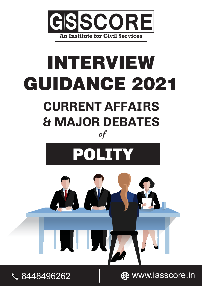

# INTERVIEW GUIDANCE 2021 **CURRENT AFFAIRS & MAJOR DEBATES** of







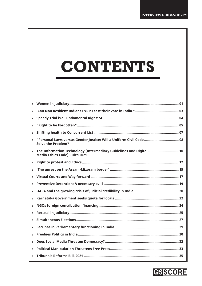# **CONTENTS**

| $\bullet$ |                                                                                                            |
|-----------|------------------------------------------------------------------------------------------------------------|
| $\bullet$ |                                                                                                            |
| $\bullet$ |                                                                                                            |
| $\bullet$ |                                                                                                            |
| $\bullet$ |                                                                                                            |
| $\bullet$ | <b>Solve the Problem?</b>                                                                                  |
| $\bullet$ | The Information Technology (Intermediary Guidelines and Digital 10<br><b>Media Ethics Code) Rules 2021</b> |
| $\bullet$ |                                                                                                            |
| $\bullet$ |                                                                                                            |
| $\bullet$ |                                                                                                            |
| $\bullet$ |                                                                                                            |
| $\bullet$ |                                                                                                            |
| $\bullet$ |                                                                                                            |
| $\bullet$ |                                                                                                            |
| $\bullet$ |                                                                                                            |
| $\bullet$ |                                                                                                            |
| $\bullet$ |                                                                                                            |
| $\bullet$ |                                                                                                            |
| $\bullet$ |                                                                                                            |
| $\bullet$ |                                                                                                            |
| $\bullet$ |                                                                                                            |

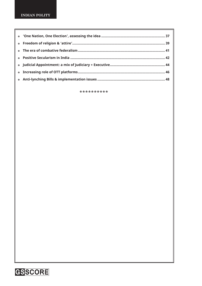\*\*\*\*\*\*\*\*\*\*

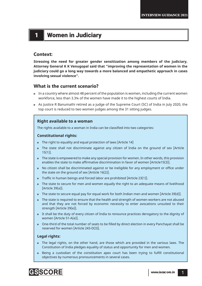# 1 **Women in Judiciary**

#### **Context:**

**Stressing the need for greater gender sensitization among members of the judiciary, Attorney General K K Venugopal said that "improving the representation of women in the judiciary could go a long way towards a more balanced and empathetic approach in cases involving sexual violence".**

### **What is the current scenario?**

- In a country where almost 48 percent of the population is women, including the current women workforce, less than 3.3% of the women have made it to the highest courts of India.
- As Justice R Banumathi retired as a judge of the Supreme Court (SC) of India in July 2020, the top court is reduced to two women judges among the 31 sitting judges.

#### **Right available to a woman**

The rights available to a woman in India can be classified into two categories:

#### **Constitutional rights:**

- The right to equality and equal protection of laws [Article 14]
- The state shall not discriminate against any citizen of India on the ground of sex [Article 15(1)].
- The state is empowered to make any special provision for women. In other words, this provision enables the state to make affirmative discrimination in favor of women [Article15(3)].
- No citizen shall be discriminated against or be ineligible for any employment or office under the state on the ground of sex [Article 16(2)].
- Traffic in human beings and forced labor are prohibited [Article 23(1)].
- The state to secure for men and women equally the right to an adequate means of livelihood [Article 39(a)].
- The state to secure equal pay for equal work for both Indian men and women [Article 39(d)].
- The state is required to ensure that the health and strength of women workers are not abused and that they are not forced by economic necessity to enter avocations unsuited to their strength [Article 39(e)].
- It shall be the duty of every citizen of India to renounce practices derogatory to the dignity of women [Article 51-A(e)].
- One-third of the total number of seats to be fi lled by direct election in every Panchayat shall be reserved for women [Article 243-D(3)].

#### **Legal rights:**

- The legal rights, on the other hand, are those which are provided in the various laws. The Constitution of India pledges equality of status and opportunity for men and women.
- Being a custodian of the constitution apex court has been trying to fulfill constitutional objectives by numerous pronouncements in several cases.

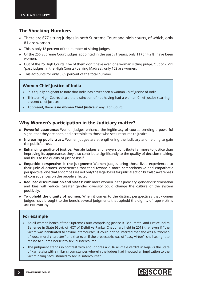### **The Shocking Numbers**

- There are 677 sitting judges in both Supreme Court and high courts, of which, only 81 are women.
- This is only 12 percent of the number of sitting judges.
- Of the 256 Supreme Court judges appointed in the past 71 years, only 11 (or 4.2%) have been women.
- o Out of the 25 High Courts, five of them don't have even one woman sitting judge. Out of 2,791 'past judges' in the High Courts (barring Madras), only 102 are women.
- This accounts for only 3.65 percent of the total number.

#### **Women Chief Justice of India**

- It is equally poignant to note that India has never seen a woman Chief Justice of India.
- Thirteen High Courts share the distinction of not having had a woman Chief Justice (barring present chief justices).
- At present, there is **no women Chief Justice** in any High Court.

#### **Why Women's participation in the Judiciary matter?**

- **Powerful assurance:** Women judges enhance the legitimacy of courts, sending a powerful signal that they are open and accessible to those who seek recourse to justice.
- **Increasing public trust:** Women judges are strengthening the judiciary and helping to gain the public's trust.
- **Enhancing quality of justice:** Female judges and lawyers contribute far more to justice than improving its appearance: they also contribute significantly to the quality of decision-making, and thus to the quality of justice itself.
- **Empathic perspective is the judgment:** Women judges bring those lived experiences to their judicial actions, experiences that tend toward a more comprehensive and empathetic perspective- one that encompasses not only the legal basis for judicial action but also awareness of consequences on the people affected.
- **Reduced discrimination and biases:** With more women in the judiciary, gender discrimination and bias will reduce. Greater gender diversity could change the culture of the system positively.
- **To uphold the dignity of women:** When it comes to the distinct perspectives that women judges have brought to the bench, several judgments that uphold the dignity of rape victims are noteworthy.

#### **For example**

- An all-women bench of the Supreme Court comprising Justice R. Banumathi and Justice Indira Banerjee in State (Govt. of NCT of Delhi) vs Pankaj Chaudhary held in 2018 that even if "the victim was habituated to sexual intercourse", it could not be inferred that she was a "woman of loose moral character" and that even if the prosecutrix was of "easy virtue", she has right to refuse to submit herself to sexual intercourse.
- The judgment stands in contrast with and ignores a 2016 all-male verdict in Raja vs the State of Karnataka with similar circumstances wherein the judges had imputed an implication to the victim being "accustomed to sexual intercourse".

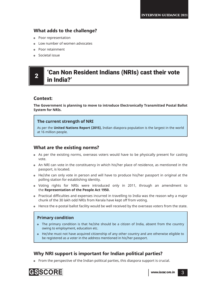### **What adds to the challenge?**

- Poor representation
- Low number of women advocates
- Poor retainment
- Societal issue

# $2 \parallel$  'Can Non Resident Indians (NRIs) cast their vote in India?'

### **Context:**

**The Government is planning to move to introduce Electronically Transmitted Postal Ballot System for NRIs.**

#### **The current strength of NRI**

As per the **United Nations Report (2015),** Indian diaspora population is the largest in the world at 16 million people.

### **What are the existing norms?**

- As per the existing norms, overseas voters would have to be physically present for casting vote.
- An NRI can vote in the constituency in which his/her place of residence, as mentioned in the passport, is located.
- He/she can only vote in person and will have to produce his/her passport in original at the polling station for establishing identity.
- Voting rights for NRIs were introduced only in 2011, through an amendment to the **Representation of the People Act 1950.**
- Practical difficulties and expenses incurred in travelling to India was the reason why a major chunk of the 30 lakh odd NRIs from Kerala have kept off from voting.
- Hence the e-postal ballot facility would be well received by the overseas voters from the state.

### **Primary condition**

- The primary condition is that he/she should be a citizen of India, absent from the country owing to employment, education etc.
- He/she must not have acquired citizenship of any other country and are otherwise eligible to be registered as a voter in the address mentioned in his/her passport.

### **Why NRI support is important for Indian political parties?**

• From the perspective of the Indian political parties, this diaspora support is crucial.

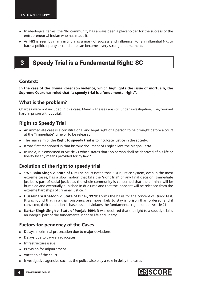- In ideological terms, the NRI community has always been a placeholder for the success of the entrepreneurial Indian who has made it.
- An NRI is seen by many in India as a mark of success and influence. For an influential NRI to back a political party or candidate can become a very strong endorsement.

# **3** Speedy Trial is a Fundamental Right: SC

#### **Context:**

**In the case of the Bhima Koregaon violence, which highlights the issue of mortuary, the Supreme Court has ruled that "a speedy trial is a fundamental right".**

### **What is the problem?**

Charges were not included in this case. Many witnesses are still under investigation. They worked hard in prison without trial.

### **Right to Speedy Trial**

- An immediate case is a constitutional and legal right of a person to be brought before a court at the "immediate" time or to be released.
- The main aim of the **Right to speedy trial** is to inculcate Justice in the society.
- It was first mentioned in that historic document of English law, the Magna Carta.
- In India, it is enshrined in Article 21 which states that "no person shall be deprived of his life or liberty by any means provided for by law."

### **Evolution of the right to speedy trial**

- **1978 Babu Singh v. State of UP:** The court noted that, "Our justice system, even in the most extreme cases, has a slow motion that kills the 'right trial' or any final decision. Immediate justice is part of social justice as the whole community is concerned that the criminal will be humbled and eventually punished in due time and that the innocent will be released from the extreme hardships of criminal justice. "
- **Hussainara Khatoon v. State of Bihar, 1979:** Forms the basis for the concept of Quick Test. It was found that in a trial, prisoners are more likely to stay in prison than ordered, and if convicted, their detention is baseless and violates the fundamental rights under Article 21.
- **Kartar Singh Singh v. State of Punjab 1994**: It was declared that the right to a speedy trial is an integral part of the fundamental right to life and liberty.

### **Factors for pendency of the Cases**

- Delays in criminal prosecution due to major deviations
- Delays due to Lawyer/advocates
- Infrastructure issue
- Provision for adjournment
- Vacation of the court
- Investigative agencies such as the police also play a role in delay the cases



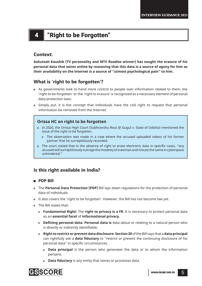# 4 "Right to be Forgotten"

### **Context:**

**Ashutosh Kaushik (TV personality and MTV Roadies winner) has sought the erasure of his personal data that exists online by reasoning that this data is a source of agony for him as their availability on the internet is a source of "utmost psychological pain" to him.**

### **What is 'right to be forgotten'?**

- As governments look to hand more control to people over information related to them, the 'right to be forgotten' or the 'right to erasure' is recognized as a necessary element of personal data protection laws.
- Simply put, it is the concept that individuals have the civil right to request that personal information be removed from the Internet.

#### **Orissa HC on right to be forgotten**

- In 2020, the Orissa High Court (Subhranshu Rout @ Gugul v. State of Odisha) mentioned the issue of the right to be forgotten.
	- $\triangleright$  The observation was made in a case where the accused uploaded videos of his former partner that he surreptitiously recorded.
- The court stated that in the absence of right to erase electronic data in specific cases, "any accused will surreptitiously outrage the modesty of a woman and misuse the same in cyberspace unhindered."

### **Is this right available in India?**

#### **PDP Bill**

- The **Personal Data Protection (PDP)** Bill lays down regulations for the protection of personal data of individuals.
- It also covers the 'right to be forgotten'. However, the Bill has not become law yet.
- The Bill states that:
	- ! **Fundamental Right:** The **right to privacy is a FR**. It is necessary to protect personal data as an **essential facet** of **informational privacy.**
	- **EXED 10 IDE 10 IDE 10 IDE 10 IDE 10 IDE 10 IDE 10 IDE 10 IDE 10 IDE 10 IDE 10 IDE 10 IDE 10 IDE 10 IDE 10 IDE** is directly or indirectly identifiable.
	- ! **Right to restrict or prevent data disclosure: Section 20** of the Bill says that a **data principal** can rightfully ask a **data fiduciary** to "restrict or prevent the continuing disclosure of his personal data" in specific circumstances.
		- **Data principal** is the person who generates the data or to whom the information pertains.
		- **Data fiduciary** is any entity that stores or processes data.

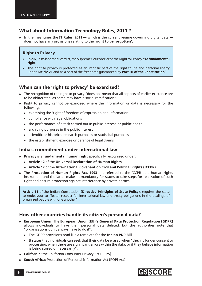### **What about Information Technology Rules, 2011 ?**

 In the meantime, the **IT Rules, 2011** — which is the current regime governing digital data does not have any provisions relating to the '**right to be forgotten'.**

#### **Right to Privacy**

- In 207, in its landmark verdict, the Supreme Court declared the Right to Privacy as a **fundamental right**.
- The right to privacy is protected as an intrinsic part of the right to life and personal liberty under **Article 21** and as a part of the freedoms guaranteed by **Part III of the Constitution".**

### **When can the 'right to privacy' be exercised?**

- The recognition of the right to privacy "does not mean that all aspects of earlier existence are to be obliterated, as some may have a social ramification".
- Right to privacy cannot be exercised where the information or data is necessary for the following:
	- $\triangleright$  exercising the 'right of freedom of expression and information'
	- $\triangleright$  compliance with legal obligations
	- $\rightarrow$  the performance of a task carried out in public interest, or public health
	- $\rightarrow$  archiving purposes in the public interest
	- $\triangleright$  scientific or historical research purposes or statistical purposes
	- $\triangleright$  the establishment, exercise or defence of legal claims

#### **India's commitment under international law**

- **Privacy** is a **fundamental human right** specifically recognized under:
	- ! **Article 12** of the **Universal Declaration of Human Rights**
	- ! **Article 17** of the **International Covenant on Civil and Political Rights (ICCPR)**
- The **Protection of Human Rights Act, 1993** has referred to the ICCPR as a human rights instrument and the latter makes it mandatory for states to take steps for realization of such right and ensure protection against interference by private parties.

**Article 51** of the Indian Constitution (**Directive Principles of State Policy),** requires the state to endeavour to "foster respect for international law and treaty obligations in the dealings of organized people with one another".

### **How other countries handle its citizen's personal data?**

- **European Union:** The **European Union (EU)'s General Data Protection Regulation (GDPR)** allows individuals to have their personal data deleted, but the authorities note that "organisations don't always have to do it".
	- ! The GDPR provisions read like a template for the **Indian PDP Bill**.
	- It states that individuals can seek that their data be erased when "they no longer consent to processing, when there are significant errors within the data, or if they believe information is being stored unnecessarily".
- **California:** the California Consumer Privacy Act (CCPA)
- **South Africa:** Protection of Personal Information Act (POPI Act)

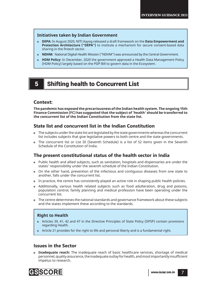#### **Initiatives taken by Indian Government**

- **DEPA:** In August 2020, NITI Aayog released a draft framework on the **Data Empowerment and Protection Architecture ("DEPA")** to institute a mechanism for secure consent-based data sharing in the fintech sector.
- **NDHM:** National Digital Health Mission ("NDHM") was announced by the Central Government.
- **HDM Policy:** In December, 2020 the government approved a Health Data Management Policy (HDM Policy) largely based on the PDP Bill to govern data in the Ecosystem.

# 5 Shifting health to Concurrent List

### **Context:**

**The pandemic has exposed the precariousness of the Indian health system. The ongoing 15th Finance Commission (FC) has suggested that the subject of 'health' should be transferred to the concurrent list of the Indian Constitution from the state list.** 

### **State list and concurrent list in the Indian Constitution**

- The subjects under the state list are legislated by the state governments whereas the concurrent list includes subjects that give legislative powers to both centre and the state governments.
- The concurrent list or List III (Seventh Schedule) is a list of 52 items given in the Seventh Schedule of the Constitution of India.

### **The present constitutional status of the health sector in India**

- Public health and allied subjects, such as sanitation, hospitals and dispensaries are under the states' responsibility under the seventh schedule of the Indian Constitution.
- On the other hand, prevention of the infectious and contiguous diseases from one state to another, falls under the concurrent list.
- In practice, the centre has consistently played an active role in shaping public health policies.
- Additionally, various health related subjects such as food adulteration, drug and poisons, population control, family planning and medical profession have been operating under the concurrent list.
- The centre determines the national standards and governance framework about these subjects and the states implement these according to the standards.

#### **Right to Health**

- Articles 39, 41, 42 and 47 in the Directive Principles of State Policy (DPSP) contain provisions regarding Health.
- Article 21 provides for the right to life and personal liberty and is a fundamental right.

#### **Issues in the Sector**

 **Inadequate reach:** The inadequate reach of basic healthcare services, shortage of medical personnel, quality assurance, the inadequate outlay for health, and most importantly insufficient impetus to research.

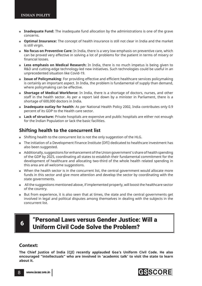- **Inadequate Fund:** The inadequate fund allocation by the administrations is one of the grave concerns.
- **Optimal Insurance:** The concept of health insurance is still not clear in India and the market is still virgin.
- **No focus on Preventive Care:** In India, there is a very low emphasis on preventive care, which can be proved very effective in solving a lot of problems for the patient in terms of misery or financial losses.
- **Less emphasis on Medical Research:** In India, there is no much impetus is being given to R&D and cutting-edge technology-led new initiatives. Such technologies could be useful in an unprecedented situation like Covid-19.
- **Issue of Policymaking**: For providing effective and efficient healthcare services policymaking is certainly an important aspect. In India, the problem is fundamental of supply than demand, where policymaking can be effective.
- **Shortage of Medical Workforce:** In India, there is a shortage of doctors, nurses, and other staff in the health sector. As per a report laid down by a minister in Parliament, there is a shortage of 600,000 doctors in India.
- **Inadequate outlay for health**: As per National Health Policy 2002, India contributes only 0.9 percent of its GDP to the Health care sector.
- **Lack of structure:** Private hospitals are expensive and public hospitals are either not enough for the Indian Population or lack the basic facilities.

### **Shifting health to the concurrent list**

- Shifting health to the concurrent list is not the only suggestion of the HLG.
- The initiation of a Development Finance Institute (DFI) dedicated to healthcare investment has also been suggested.
- Additionally, suggestions for enhancement of the Union government's share of health spending of the GDP by 2025, coordinating all states to establish their fundamental commitment for the development of healthcare and allocating two-third of the whole health related spending in this area are all welcome suggestions.
- When the health sector is in the concurrent list, the central government would allocate more funds in this sector and give more attention and develop the sector by coordinating with the state governments.
- All the suggestions mentioned above, if implemented properly, will boost the healthcare sector of the country.
- But from experience, it is also seen that at times, the state and the central governments get involved in legal and political disputes among themselves in dealing with the subjects in the concurrent list.

# <sup>6</sup> "Personal Laws versus Gender Justice: Will a Uniform Civil Code Solve the Problem?

#### **Context:**

**The Chief Justice of India (CJI) recently applauded Goa's Uniform Civil Code. He also encouraged "intellectuals" who are involved in 'academic talk' to visit the state to learn about it.**

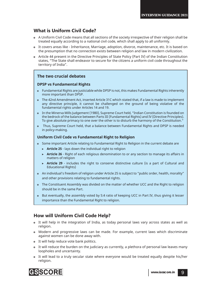### **What is Uniform Civil Code?**

- A Uniform Civil Code means that all sections of the society irrespective of their religion shall be treated equally according to a national civil code, which shall apply to all uniformly.
- It covers areas like Inheritance, Marriage, adoption, divorce, maintenance, etc. It is based on the presumption that no connection exists between religion and law in modern civilization.
- Article 44 present in the Directive Principles of State Policy (Part IV) of the Indian Constitution states, "The State shall endeavor to secure for the citizens a uniform civil code throughout the territory of India".

### **The two crucial debates**

#### **DPSP vs Fundamental Rights**

- Fundamental Rights are justiciable while DPSP is not, this makes Fundamental Rights inherently more important than DPSP.
- The 42nd Amendment Act, inserted Article 31C which stated that, if a law is made to implement any directive principle, it cannot be challenged on the ground of being violative of the fundamental rights under Articles 14 and 19.
- In the Minerva Mills Judgement (1980), Supreme Court held, "Indian Constitution is founded on the bedrock of the balance between Parts III (Fundamental Rights) and IV (Directive Principles). To give absolute primacy to one over the other is to disturb the harmony of the Constitution."
- Thus, Supreme Court held, that a balance between Fundamental Rights and DPSP is needed in policy-making.

#### **Uniform Civil Code vs Fundamental Right to Religion**

- Some important Article relating to Fundamental Right to Religion in the current debate are
	- **Article 25** lays down the individual right to religion
	- **► Article 26** Right of each religious denomination to or any section to manage its affairs in matters of religion
	- **► Article 29** includes the right to conserve distinctive culture (is a part of Cultural and Educational Rights)
- An individual's freedom of religion under Article 25 is subject to "public order, health, morality" and other provisions relating to fundamental rights.
- The Constituent Assembly was divided on the matter of whether UCC and the Right to religion should be in the same Part.
- But eventually, the assembly voted by 5:4 ratio of keeping UCC in Part IV, thus giving it lesser importance than the Fundamental Right to religion.

### **How will Uniform Civil Code Help?**

- It will help in the integration of India, as today personal laws vary across states as well as religion.
- Modern and progressive laws can be made. For example, current laws which discriminate against women can be done away with.
- o It will help reduce vote bank politics.
- It will reduce the burden on the judiciary as currently, a plethora of personal law leaves many loopholes and uncertainty.
- It will lead to a truly secular state where everyone would be treated equally despite his/her religion.

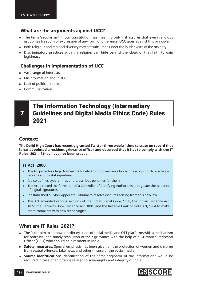### **What are the arguments against UCC?**

- The term 'secularism' in our constitution has meaning only if it assures that every religious group has freedom of expression of any form of difference. UCC goes against this principle.
- Both religious and regional diversity may get subsumed under the louder voice of the majority.
- Discriminatory practices within a religion can hide behind the cloak of that faith to gain legitimacy

### **Challenges in implementation of UCC**

- Vast range of interests
- Misinformation about UCC
- Lack of political interest
- Communalization

# The Information Technology (Intermediary Guidelines and Digital Media Ethics Code) Rules 2021

### **Context:**

**The Delhi High Court has recently granted Twitter three weeks' time to state on record that it has appointed a resident grievance offi cer and observed that it has to comply with the IT Rules, 2021, if they have not been stayed.**

#### **IT Act, 2000**

- The Act provides a legal framework for electronic governance by giving recognition to electronic records and digital signatures.
- It also defines cybercrimes and prescribes penalties for them.
- The Act directed the formation of a Controller of Certifying Authorities to regulate the issuance of digital signatures.
- It established a Cyber Appellate Tribunal to resolve disputes arising from this new law.
- The Act amended various sections of the Indian Penal Code, 1860, the Indian Evidence Act, 1872, the Banker's Book Evidence Act, 1891, and the Reserve Bank of India Act, 1934 to make them compliant with new technologies.

### **What are IT Rules, 2021?**

- The Rules aim to empower ordinary users of social media and OTT platforms with a mechanism for redressal and timely resolution of their grievance with the help of a Grievance Redressal Officer (GRO) who should be a resident in India.
- **Safety measures:** Special emphasis has been given on the protection of women and children from sexual offences, fake news and other misuse of the social media.
- **Source identification:** Identification of the "first originator of the information" would be required in case of an offence related to sovereignty and integrity of India.

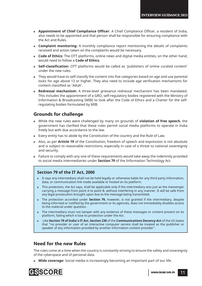- **Appointment of Chief Compliance Officer:** A Chief Compliance Officer, a resident of India, also needs to be appointed and that person shall be responsible for ensuring compliance with the Act and Rules.
- **Complaint monitoring:** A monthly compliance report mentioning the details of complaints received and action taken on the complaints would be necessary.
- **Code of Ethics:** The OTT platforms, online news and digital media entities, on the other hand, would need to follow a **Code of Ethics.**
- **Self-classification:** OTT platforms would be called as 'publishers of online curated content' under the new rules.
- They would have to self-classify the content into five categories based on age and use parental locks for age above 13 or higher. They also need to include age verification mechanisms for content classified as 'Adult'.
- **Redressal mechanism:** A three-level grievance redressal mechanism has been mandated. This includes the appointment of a GRO, self-regulatory bodies registered with the Ministry of Information & Broadcasting (MIB) to look after the Code of Ethics and a Charter for the selfregulating bodies formulated by MIB.

### **Grounds for challenge**

- While the new rules were challenged by many on grounds of **violation of free speech**, the government has clarified that these rules permit social media platforms to operate in India freely but with due accordance to the law.
- Every entity has to abide by the Constitution of the country and the Rule of Law.
- Also, as per **Article 19** of the Constitution, freedom of speech and expression is not absolute and is subject to reasonable restrictions, especially in case of a threat to national sovereignty and security.
- Failure to comply with any one of these requirements would take away the indemnity provided to social media intermediaries under **Section 79** of the Information Technology Act.

#### **Section 79 of the IT Act, 2000**

- It says any intermediary shall not be held legally or otherwise liable for any third party information, data, or communication link made available or hosted on its platform.
- This protection, the Act says, shall be applicable only if the intermediary acts just as the messenger carrying a message from point A to point B, without interfering in any manner. It will be safe from any legal prosecution brought upon due to the message being transmitted.
- The protection accorded under **Section 79,** however, is not granted if the intermediary, despite being informed or notified by the government or its agencies, does not immediately disables access to the material under question.
- The intermediary must not tamper with any evidence of these messages or content present on its platform, failing which it lose its protection under the Act.
- Like **Section 79 of India's IT Act**, **Section 230** of the **Communications Decency Act** of the US states that "no provider or user of an interactive computer service shall be treated as the publisher or speaker of any information provided by another information content provider".

#### **Need for the new Rules**

The rules come at a time when the country is constantly striving to ensure the safety and sovereignty of the cyberspace and of personal data.

**Wide coverage:** Social media is increasingly becoming an important part of our life.

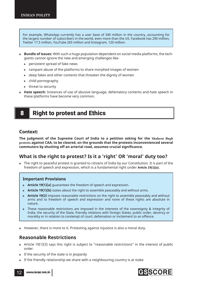For example, WhatsApp currently has a user base of 340 million in the country, accounting for the largest number of subscribers in the world, even more than the US. Facebook has 290 million, Twitter 17.5 million, YouTube 265 million and Instagram, 120 million.

- **Bundle of issues:** With such a huge population dependent on social media platforms, the techgiants cannot ignore the new and emerging challenges like-
	- $\triangleright$  persistent spread of fake news
	- $\triangleright$  rampant abuse of the platforms to share morphed images of women
	- $\rightarrow$  deep fakes and other contents that threaten the dignity of women
	- $\triangleright$  child pornography
	- $\blacktriangleright$  threat to security
- **Hate speech:** Instances of use of abusive language, defamatory contents and hate speech in these platforms have become very common.

# 8 **Right to protest and Ethics**

#### **Context:**

**The judgment of the Supreme Court of India to a petition asking for the Shaheen Bagh protests against CAA, to be cleared, on the grounds that the protests inconvenienced several**  commuters by shutting off an arterial road, assumes crucial significance.

### **What is the right to protest? Is it a 'right' OR 'moral' duty too?**

 The right to peaceful protest is granted to citizens of India by our Constitution. It is part of the freedom of speech and expression, which is a fundamental right under **Article 19(1)(a).** 

#### **Important Provisions**

- **Article 19(1)(a)** guarantees the freedom of speech and expression.
- **Article 19(1)(b)** states about the right to assemble peaceably and without arms.
- **Article 19(2)** imposes reasonable restrictions on the right to assemble peaceably and without arms and to freedom of speech and expression and none of these rights are absolute in nature.
- These reasonable restrictions are imposed in the interests of the sovereignty & integrity of India, the security of the State, friendly relations with foreign States, public order, decency or morality or in relation to contempt of court, defamation or incitement to an offence.
- However, there is more to it. Protesting against injustice is also a moral duty.

### **Reasonable Restrictions**

- Article 19(1)(3) says this right is subject to "reasonable restrictions" in the interest of public order.
- o If the security of the state is in jeopardy
- If the friendly relationship we share with a neighbouring country is at stake



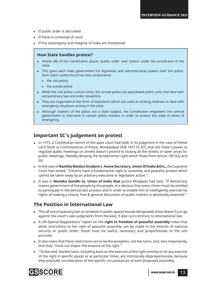- If public order is disturbed
- o If there is contempt of court
- If the sovereignty and integrity of India are threatened

#### **How State handles protest?**

- Article 246 of the Constitution places 'public order' and 'police' under the jurisdiction of the state.
- This gives each state government full legislative and administrative powers over the police. Each state's police force has two components:
	- $\blacktriangleright$  the civil police
	- $\blacktriangleright$  the armed police
- While the civil police control crime, the armed police are specialised police units that deal with extraordinary law and order situations.
- They are organised in the form of battalions which are used as striking reserves to deal with emergency situations arising in the state.
- Although matters of the police are a state subject, the Constitution empowers the central government to intervene in certain police matters in order to protect the state in times of emergency.

### **Important SC's Judgement on protest**

- In 1973, a Constitution bench of the apex court had held, in its judgment in the case of Himat Lal K Shah vs Commissioner of Police, Ahmedabad (AIR 1973 SC 87), that the State's power to regulate public meetings on streets doesn't extend to closing all the streets or open areas for public meetings, thereby denying the fundamental right which flows from Article 19(1)(a) and (b).
- In the case of **Ramlila Maidan Incident v. Home Secretary, Union Of India &Ors.,** the Supreme Court had stated, "Citizens have a fundamental right to assembly and peaceful protest which cannot be taken away by an arbitrary executive or legislative action."
- It was in **Maneka Gandhi vs. Union of India that** Justice Bhagwati had said, "If democracy means government of the people by the people, it is obvious that every citizen must be entitled to participate in the democratic process and in order to enable him to intelligently exercise his rights of making a choice, free & general discussion of public matters is absolutely essential."

### **The Position in International Law**

- This all-encompassing ban on protests in public spaces except designated areas doesn't just go against the court's own judgments from the past, it also runs contrary to international law.
- A UN Special Rapporteurs' report on the **right to freedom of peaceful assembly** notes that while restrictions to the right of peaceful assembly can be made in the interest of national security or public order, these must be lawful, necessary and proportionate to the aim pursued.
- It also notes that these restrictions are to be the exception, not the norm, and, very importantly, that they "must not impair the essence of the right."
- "To this end, blanket bans, including bans on the exercise of the right entirely or on any exercise of the right in specific places or at particular times, are intrinsically disproportionate, because they preclude consideration of the specific circumstances of each proposed assembly.

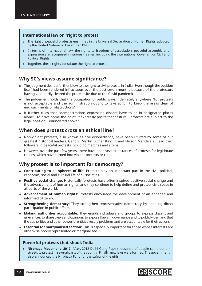#### **International law on 'right to protest'**

- The right of peaceful protest is enshrined in the Universal Declaration of Human Rights, adopted by the United Nations in December 1948.
- In terms of international law, the rights to freedom of association, peaceful assembly and expression are recognised in various treaties, including the International Covenant on Civil and Political Rights.
- Together, these rights constitute the right to protest.

### **Why SC's views assume significance?**

- The judgment deals a further blow to the right to civil protests in India. Even though the petition itself had been rendered infructuous over the past seven months because of the protestors having voluntarily cleared the protest site due to the Covid pandemic.
- The judgement holds that the occupation of public ways indefinitely anywhere "for protests is not acceptable and the administration ought to take action to keep the areas clear of encroachments or obstructions".
- It further rules that "demonstrations expressing dissent have to be in designated places alone". To drive home the point, it expressly posits that "future... protests are subject to the legal position… enunciated above".

### **When does protest cross an ethical line?**

- Non-violent protests, also known as civil disobedience, have been utilized by some of our greatest historical leaders. Gandhi, Martin Luther King Jr. and Nelson Mandela all lead their followers in peaceful protests including marches and sit-ins.
- However, over the past few years, there have been several instances of protests for legitimate causes, which have turned into violent protests or riots.

### **Why protest is so important for democracy?**

- **Contributing to all spheres of life:** Protests play an important part in the civil, political, economic, social and cultural life of all societies.
- **Positive social change:** Historically, protests have often inspired positive social change and the advancement of human rights, and they continue to help define and protect civic space in all parts of the world.
- **Advancement of human rights:** Protests encourage the development of an engaged and informed citizenry.
- **Strengthening democracy:** They strengthen representative democracy by enabling direct participation in public affairs.
- **Making authorities accountable:** They enable individuals and groups to express dissent and grievances, to share views and opinions, to expose flaws in governance and to publicly demand that the authorities and other powerful entities rectify problems and are accountable for their actions.
- **Essential for marginalised section:** This is especially important for those whose interests are otherwise poorly represented or marginalised.

#### **Powerful protests that shook India**

 **Nirbhaya Movement- 2012:** After, 2012 Delhi Gang Rape thousands of people came out on streets to protest in several parts of the country. Finally, new laws were formed. The government also announced the Nirbhaya Fund for the safety of the girls.

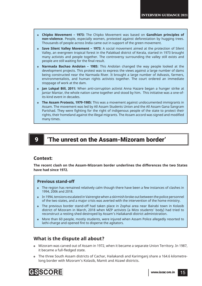- **Chipko Movement 1973:** The Chipko Movement was based on **Gandhian principles of non-violence**. People, especially women, protested against deforestation by hugging trees. Thousands of people across India came out in support of the green movement.
- **Save Silent Valley Movement 1973:** A social movement aimed at the protection of Silent Valley, an evergreen tropical forest in the Palakkad district of Kerala, started in 1973 brought many activists and people together. The controversy surrounding the valley still exists and people are still waiting for the final result.
- **Narmada Bachao Andolan 1985:** This Andolan changed the way people looked at the development projects. This protest was to express the views against a large number of dams being constructed near the Narmada River. It brought a large number of Adivasis, farmers, environmentalists, and human rights activists together. The court ordered an immediate stoppage of work at the dam.
- **Jan Lokpal Bill, 2011:** When anti-corruption activist Anna Hazare began a hunger strike at Jantar Mantar, the whole nation came together and stood by him. This initiative was a one-ofits-kind event in decades.
- **The Assam Protests, 1979-1985:** This was a movement against undocumented immigrants in Assam. The movement was led by All Assam Students Union and the All Assam Gana Sangram Parishad. They were fighting for the right of indigenous people of the state to protect their rights, their homeland against the illegal migrants. The Assam accord was signed and modified many times.

# 9 'The unrest on the Assam-Mizoram border'

#### **Context:**

**The recent clash on the Assam-Mizoram border underlines the differences the two States have had since 1972.**

#### **Previous stand-off**

- The region has remained relatively calm though there have been a few instances of clashes in 1994, 2006 and 2018.
- In 1994, tensions escalated in Vairengte when a skirmish broke out between the police personnel of the two states, and a major crisis was averted with the intervention of the home ministry.
- The previous border stand-off had taken place in Zophai area near Bairabi town in Kolasib district of Mizoram in March, 2018 when MZP activists (a Mizo students' body) had tried to reconstruct a resting shed destroyed by Assam's Hailakandi district administration.
- More than 60 people, mostly students, were injured when Assam Police allegedly resorted to lathi-charge and opened fire to disperse the agitators.

### **What is the dispute all about?**

- Mizoram was carved out of Assam in 1972, when it became a separate Union Territory. In 1987, it became a full-fledged state.
- The three South Assam districts of Cachar, Hailakandi and Karimganj share a 164.6 kilometrelong border with Mizoram's Kolasib, Mamit and Aizawl districts.

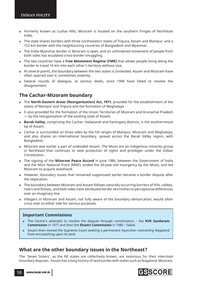- Formerly known as Lushai Hills, Mizoram is located on the southern fringes of Northeast India.
- The state shares borders with three northeastern states of Tripura, Assam and Manipur, and a 722-km border with the neighbouring countries of Bangladesh and Myanmar.
- The India-Myanmar border in Mizoram is open, and an unhindered movement of people from both sides has escalated cross-border smuggling.
- The two countries have a **Free Movement Regime (FMR)** that allows people living along the border to travel 16 km into each other's territory without visa.
- At several points, the boundary between the two states is contested. Assam and Mizoram have often sparred over it, sometimes violently.
- Several rounds of dialogue, at various levels, since 1994 have failed to resolve the disagreement.

### **The Cachar-Mizoram boundary**

- The **North-Eastern Areas (Reorganisation) Act, 1971**, provided for the establishment of the states of Manipur and Tripura and the formation of Meghalaya.
- It also provided for the formation of the Union Territories of Mizoram and Arunachal Pradesh — by the reorganisation of the existing state of Assam.
- **Barak Valley**, comprising the Cachar, Hailakandi and Karimganj districts, is the southernmost tip of Assam.
- Cachar is surrounded on three sides by the hill ranges of Manipur, Mizoram and Meghalaya, and also shares an international boundary, spread across the Barak Valley region, with Bangladesh.
- Mizoram was earlier a part of undivided Assam. The Mizos are an indigenous minority group in Northeast that continues to seek protection of rights and privileges under the Indian Constitution.
- The signing of the **Mizoram Peace Accord** in June 1986, between the Government of India and the Mizo National Front (MNF), ended the 20-year-old insurgency by the Mizos, and led Mizoram to acquire statehood.
- However, boundary issues that remained suppressed earlier became a border dispute after the separation.
- The boundary between Mizoram and Assam follows naturally occurring barriers of hills, valleys, rivers and forests, and both sides have attributed border skirmishes to perceptional differences over an imaginary line.
- Villagers in Mizoram and Assam, not fully aware of the boundary demarcation, would often cross over to either side for various purposes.

#### **Important Commissions**

- The Centre's attempts to resolve the dispute through commissions the **KVK Sundaram Commission** in 1971 and then the **Shastri Commission** in 1985 – failed.
- Assam then moved the Supreme Court seeking a permanent injunction restraining Nagaland from encroaching upon its land.

### **What are the other boundary issues in the Northeast?**

The 'Seven Sisters', as the NE states are collectively known, are notorious for their interstate boundary disputes. Assam has a long history of land tussles with states such as Nagaland, Mizoram,

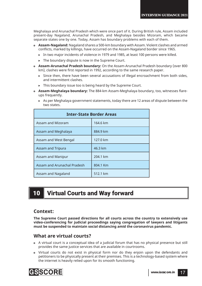Meghalaya and Arunachal Pradesh which were once part of it. During British rule, Assam included present-day Nagaland, Arunachal Pradesh, and Meghalaya besides Mizoram, which became separate states one by one. Today, Assam has boundary problems with each of them.

- **Assam-Nagaland:** Nagaland shares a 500-km boundary with Assam. Violent clashes and armed conflicts, marked by killings, have occurred on the Assam-Nagaland border since 1965.
	- $\triangleright$  In two major incidents of violence in 1979 and 1985, at least 100 persons were killed.
	- $\triangleright$  The boundary dispute is now in the Supreme Court.
- **Assam-Arunachal Pradesh boundary:** On the Assam-Arunachal Pradesh boundary (over 800 km), clashes were first reported in 1992, according to the same research paper.
	- $\triangleright$  Since then, there have been several accusations of illegal encroachment from both sides, and intermittent clashes.
	- $\triangleright$  This boundary issue too is being heard by the Supreme Court.
- **Assam-Meghalaya boundary:** The 884-km Assam-Meghalaya boundary, too, witnesses flareups frequently.
	- $\triangleright$  As per Meghalaya government statements, today there are 12 areas of dispute between the two states.

| <b>Inter-State Border Areas</b> |          |  |  |
|---------------------------------|----------|--|--|
| Assam and Mizoram               | 164.6 km |  |  |
| Assam and Meghalaya             | 884.9 km |  |  |
| Assam and West Bengal           | 127.0 km |  |  |
| <b>Assam and Tripura</b>        | 46.3 km  |  |  |
| Assam and Manipur               | 204.1 km |  |  |
| Assam and Arunachal Pradesh     | 804.1 Km |  |  |
| Assam and Nagaland              | 512.1 km |  |  |

# 10 Virtual Courts and Way forward

### **Context:**

**The Supreme Court passed directions for all courts across the country to extensively use video-conferencing for judicial proceedings saying congregation of lawyers and litigants must be suspended to maintain social distancing amid the coronavirus pandemic.** 

### **What are virtual courts?**

- A virtual court is a conceptual idea of a judicial forum that has no physical presence but still provides the same justice services that are available in courtrooms.
- Virtual courts do not exist in physical form nor do they enjoin upon the defendants and petitioners to be physically present at their premises. This is a technology-based system where the internet is heavily relied upon for its smooth functioning.

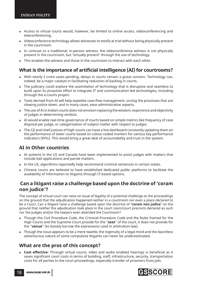- Access to virtual courts would, however, be limited to online access, videoconferencing and teleconferencing.
- Videoconference technology allows witnesses to testify at trial without being physically present in the courtroom.
- In contrast to a traditional, in-person witness, the videoconference witness is not physically present in the courtroom, but 'virtually present' through the use of technology.
- This enables the witness and those in the courtroom to interact with each other.

### **What is the importance of artificial intelligence (AI) for courtrooms?**

- With nearly 3 crore cases pending, delays in courts remain a grave concern. Technology can, indeed, be a major catalyst in facilitating reduction of backlog in courts.
- The judiciary could explore the assimilation of technology that is disruptive and seamless to build upon its proactive effort to integrate IT and communication-led technologies, including through the e-courts project.
- Tools derived from AI will help expedite case-flow management, unclog the processes that are slowing justice down, and in many cases, ease administrative aspects.
- The use of AI in Indian courts does not envision replacing the wisdom, experience and objectivity of judges in determining verdicts.
- AI would enable real-time governance of courts based on simple metrics like frequency of case disposal per judge, or categorisation of subject matter with respect to judges.
- The CJI and chief justices of high courts can have a live dashboard constantly updating them on the performance of lower courts based on colour-coded markers for various key performance indicators (KPIs). This would bring a great deal of accountability and trust in the system.

### **AI in Other countries**

- AI systems in the US and Canada have been implemented to assist judges with matters that include bail applications and parole matters.
- In the US, algorithms reportedly help recommend criminal sentences in certain states.
- Chinese courts are believed to have established dedicated public platforms to facilitate the availability of information to litigants through IT-based options.

### **Can a litigant raise a challenge based upon the doctrine of** *"***coram non judice***"***?**

The concept of virtual court can raise an issue of legality of a potential challenge to the proceedings on the ground that the adjudication happened neither in a courtroom nor even a place declared to be a Court. Can a litigant raise a challenge based upon the doctrine of *"***coram non judice***"* on the ground that neither the adjudication took place in the court room/court precincts declared as such nor the Judges and/or the lawyers even attended the Courtroom?

- Though the Civil Procedure Code, the Criminal Procedure Code and the Rules framed for the High Courts and the Supreme Court provide for the "**seat**" of the court, it does not provide for the "**venue**" (to loosely borrow the expressions used in arbitration law).
- Though the issue appears to be a mere twattle, the ingenuity of a legal mind and the dauntless adventurous nature of some compulsive litigants can never be underestimated.

### **What are the pros of this concept?**

**Cost effective:** Through virtual courts, video and audio enabled hearings is beneficial as it saves significant court costs in terms of building, staff, infrastructure, security, transportation costs for all parties to the court proceedings, especially transfer of prisoners from jails.

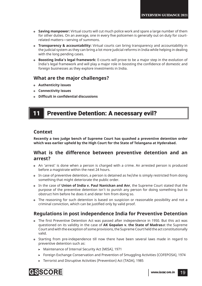- **Saving manpower:** Virtual courts will cut much police work and spare a large number of them for other duties. On an average, one in every five policemen is generally out on duty for courtrelated matters—serving of summons.
- **Transparency & accountability:** Virtual courts can bring transparency and accountability in the judicial system as they can bring a lot more judicial reforms in India while helping in dealing with the long pending cases.
- **Boosting India's legal framework:** E-courts will prove to be a major step in the evolution of India's legal framework and will play a major role in boosting the confidence of domestic and foreign businesses as they explore investments in India.

### **What are the major challenges?**

- **Authenticity issues**
- **Connectivity issues**
- **Difficult in confidential discussions**

# 11 **Preventive Detention: A necessary evil?**

#### **Context**

**Recently a two judge bench of Supreme Court has quashed a preventive detention order which was earlier upheld by the High Court for the State of Telangana at Hyderabad.**

### **What is the difference between preventive detention and an arrest?**

- An 'arrest' is done when a person is charged with a crime. An arrested person is produced before a magistrate within the next 24 hours.
- In case of preventive detention, a person is detained as he/she is simply restricted from doing something that might deteriorate the public order.
- In the case of **Union of India v. Paul Nanickan and Anr**, the Supreme Court stated that the purpose of the preventive detention isn't to punish any person for doing something but to obstruct him before he does it and deter him from doing so.
- The reasoning for such detention is based on suspicion or reasonable possibility and not a criminal conviction, which can be justified only by valid proof.

### **Regulations in post independence India for Preventive Detention**

- The first Preventive Detention Act was passed after independence in 1950. But this act was questioned on its validity in the case of **AK Gopalan v. the State of Madras**at the Supreme Court and with the exception of some provisions, the Supreme Court held the act constitutionally valid.
- Starting from pre-independence till now there have been several laws made in regard to preventive detention such as:
	- ! Maintenance of Internal Security Act (MISA), 1971
	- ! Foreign Exchange Conservation and Prevention of Smuggling Activities (COFEPOSA), 1974
	- ▶ Terrorist and Disruptive Activities (Prevention) Act (TADA), 1985

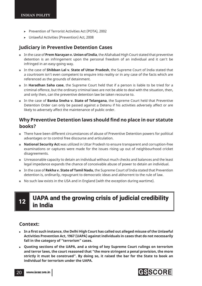- ! Prevention of Terrorist Activities Act (POTA), 2002
- ! Unlawful Activities (Prevention) Act, 2008

### **Judiciary in Preventive Detention Cases**

- In the case of **Prem Narayan v. Union of India**, the Allahabad High Court stated that preventive detention is an infringement upon the personal freedom of an individual and it can't be infringed in an easy-going way.
- In the case of **Shibban Lal v. State of Uttar Pradesh**, the Supreme Court of India stated that a courtroom isn't even competent to enquire into reality or in any case of the facts which are referenced as the grounds of detainment.
- In **Haradhan Saha case**, the Supreme Court held that if a person is liable to be tried for a criminal offence, but the ordinary criminal laws are not be able to deal with the situation, then, and only then, can the preventive detention law be taken recourse to.
- In the case of **Banka Sneha v. State of Telangana**, the Supreme Court held that Preventive Detention Order can only be passed against a Detenu if his activities adversely affect or are likely to adversely affect the maintenance of public order.

### **Why Preventive Detention laws should find no place in our statute books?**

- There have been different circumstances of abuse of Preventive Detention powers for political advantages or to control free discourse and articulation.
- **National Security Act** was utilized in Uttar Pradesh to ensure transparent and corruption-free examinations or captures were made for the issues rising up out of neighbourhood cricket disagreements.
- Unreasonable capacity to detain an individual without much checks and balances and the least legal impedance expands the chance of conceivable abuse of power to detain an individual.
- In the case of **Rekha v. State of Tamil Nadu**, the Supreme Court of India stated that Prevention detention is, ordinarily, repugnant to democratic ideas and abhorrent to the rule of law.
- No such law exists in the USA and in England (with the exception during wartime).

# UAPA and the growing crisis of judicial credibility in India

### **Context:**

- In a first such instance, the Delhi High Court has called out alleged misuse of the Unlawful **Activities Prevention Act, 1967 (UAPA) against individuals in cases that do not necessarily fall in the category of "terrorism" cases.**
- **Quoting sections of the UAPA, and a string of key Supreme Court rulings on terrorism and terror laws, the court reasoned that "the more stringent a penal provision, the more strictly it must be construed". By doing so, it raised the bar for the State to book an individual for terrorism under the UAPA.**

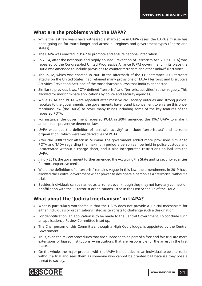### **What are the problems with the UAPA?**

- While the last few years have witnessed a sharp spike in UAPA cases, the UAPA's misuse has been going on for much longer and across all regimes and government types (Centre and states).
- The UAPA was enacted in 1967 to promote and ensure national integration.
- In 2004, after the notorious and highly abused Prevention of Terrorism Act, 2002 (POTA) was repealed by the Congress-led United Progressive Alliance (UPA) government, in its place the UAPA was amended to include provisions to counter terrorism and other unlawful activities.
- The POTA, which was enacted in 2001 in the aftermath of the 11 September 2001 terrorist attacks on the United States, had retained many provisions of TADA (Terrorist and Disruptive Activities Prevention Act), one of the most draconian laws that India ever enacted.
- o Similar to previous laws, POTA defined "terrorist" and "terrorist activities" rather vaguely. This allowed for indiscriminate applications by police and security agencies.
- While TADA and POTA were repealed after massive civil society outcries and strong judicial rebukes to the governments, the governments have found it convenient to enlarge this oncemoribund law (the UAPA) to cover many things including some of the key features of the repealed POTA.
- For instance, the government repealed POTA in 2004, amended the 1967 UAPA to make it an omnibus preventive detention law.
- UAPA expanded the definition of 'unlawful activity' to include 'terrorist act' and 'terrorist organization', which were key derivatives of POTA.
- After the 2008 terror attack in Mumbai, the government added more provisions similar to POTA and TADA regarding the maximum period a person can be held in police custody and incarcerated without a charge sheet, and it also incorporated restrictions on bail into the UAPA.
- In July 2019, the government further amended the Act giving the State and its security agencies far more expansive teeth.
- While the definition of a 'terrorist' remains vague in this law, the amendments in 2019 have allowed the Central government wider power to designate a person as a "terrorist" without a trial.
- Besides, individuals can be named as terrorists even though they may not have any connection or affiliation with the 36 terrorist organizations listed in the First Schedule of the UAPA.

### **What about the 'Judicial mechanism' in UAPA?**

- What is particularly worrisome is that the UAPA does not provide a judicial mechanism for either individuals or organizations listed as terrorists to challenge such a designation.
- For denotification, an application is to be made to the Central Government. To conclude such an application, a Review Committee is set up.
- The Chairperson of this Committee, though a High Court Judge, is appointed by the Central Government.
- Thus, even the review procedures that are supposed to be part of a free and fair trial are mere extensions of biased institutions  $-$  institutions that are responsible for the arrest in the first place.
- On the whole, the major problem with the UAPA is that it deems an individual to be a terrorist without a trial and sees them as someone who cannot be granted bail because they pose a threat to society.

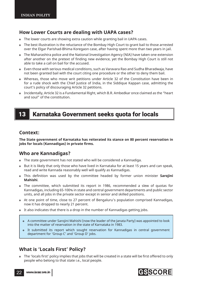### **How Lower Courts are dealing with UAPA cases?**

- The lower courts are showing extra caution while granting bail in UAPA cases.
- The best illustration is the reluctance of the Bombay High Court to grant bail to those arrested over the Elgar Parishad-Bhima Koregaon case, after having spent more than two years in jail.
- The Maharashtra police and the National Investigation Agency (NIA) have taken one extension after another on the pretext of finding new evidence, yet the Bombay High Court is still not able to take a call on bail for the accused.
- Even those with serious medical conditions, such as Varavara Rao and Sudha Bharadwaja, have not been granted bail with the court citing one procedure or the other to deny them bail.
- Whereas, those who move writ petitions under Article 32 of the Constitution have been in for a rude shock with the Chief Justice of India, in the Siddique Kappan case, admitting the court's policy of discouraging Article 32 petitions.
- Incidentally, Article 32 is a Fundamental Right, which B.R. Ambedkar once claimed as the "heart and soul" of the constitution.

# 13 Karnataka Government seeks quota for locals

### **Context:**

**The State government of Karnataka has reiterated its stance on 80 percent reservation in jobs for locals (Kannadigas) in private firms.** 

### **Who are Kannadigas?**

- The state government has not stated who will be considered a Kannadiga.
- But it is likely that only those who have lived in Karnataka for at least 15 years and can speak, read and write Kannada reasonably well will qualify as Kannadigas.
- **o** This definition was used by the committee headed by former union minister **Sarojini Mahishi**.
- The committee, which submitted its report in 1986, recommended a slew of quotas for Kannadigas, including 65-100% in state and central government departments and public sector units, and all jobs in the private sector except in senior and skilled positions.
- At one point of time, close to 27 percent of Bengaluru's population comprised Kannadigas, now it has dropped to nearly 21 percent.
- It also indicates that there is a drop in the number of Kannadigas getting jobs.
	- A committee under Sarojini Mahishi (now the leader of the Janata Party) was appointed to look into the matter of reservation in the state of Karnataka in 1983.
	- It submitted its report which sought reservation for Kannadigas in central government department for 'Group C' and 'Group D' jobs.

### **What is 'Locals First' Policy?**

• The 'locals first' policy implies that jobs that will be created in a state will be first offered to only people who belong to that state i.e., local people.

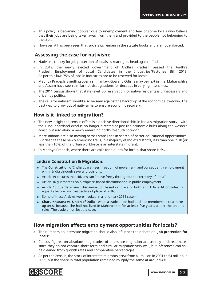- This policy is becoming popular due to unemployment and fear of some locals who believe that their jobs are being taken away from them and provided to the people not belonging to the state.
- However, it has been seen that such laws remain in the statute books and are not enforced.

### **Assessing the case for nativism:**

- Nativism, the cry for job protection of locals, is rearing its head again in India.
- In 2019, the newly elected government of Andhra Pradesh passed the Andhra Pradesh Employment of Local Candidates in the Industries/Factories Bill, 2019. As per this law, 75% of jobs in industries are to be reserved for locals.
- Madhya Pradesh is mulling over a similar law. Goa and Odisha may be next in line. Maharashtra and Assam have seen similar nativist agitations for decades in varying intensities.
- The 2011 census shows that state-level job reservation for native residents is unnecessary and driven by politics.
- The calls for nativism should also be seen against the backdrop of the economic slowdown. The best way to grow out of nativism is to ensure economic recovery.

### **How is it linked to migration?**

- The new insight the census offers is a decisive directional shift in India's migration story—with the Hindi heartland exodus no longer directed at just the economic hubs along the western coast, but also along a newly emerging north-to-south corridor.
- More Indians are also moving across state lines in search of better educational opportunities. But despite these newly emerging trails, in a majority of India's districts, less than one in 10 (or less than 10%) of the urban workforce is an interstate migrant.
- In Madhya Pradesh, where there are calls for a quota for locals, that share is 5%.

#### **Indian Constitution & Migration:**

- The **Constitution of India** guarantees 'freedom of movement' and consequently employment within India through several provisions.
- Article 19 ensures that citizens can "move freely throughout the territory of India".
- Article 16 guarantees no birthplace-based discrimination in public employment.
- Article 15 guards against discrimination based on place of birth and Article 14 provides for equality before law irrespective of place of birth.
- Some of these Articles were invoked in a landmark 2014 case—
- **Charu Khurana vs. Union of India**—when a trade union had declined membership to a makeup artist because she had not lived in Maharashtra for at least five years, as per the union's rules. The trade union lost the case.

### **How migration affects employment opportunities for locals?**

- o The numbers on interstate migration should also influence the debate on 'job protection for **locals'**.
- Census figures on absolute magnitudes of interstate migration are usually underestimates since they do not capture short-term and circular migration very well, but inferences can still be gleaned from growth rates and comparative percentages.
- As per the census, the stock of interstate migrants grew from 41 million in 2001 to 54 million in 2011, but the share in total population remained roughly the same at around 4%.

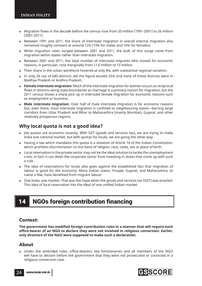- Migration flows in the decade before the census rose from 20 million (1991-2001) to 26 million (2001-2011).
- Between 1991 and 2011, the share of interstate migration in overall internal migration also remained roughly constant at around 12% (19% for males and 10% for females).
- While migration rates surged between 2001 and 2011, the bulk of this surge came from migration within states rather than interstate migration.
- Between 2001 and 2011, the total number of interstate migrants who moved for economic reasons, in particular, rose marginally from 11.6 million to 13 million.
- Their share in the urban workforce hovered at only 8%, with substantial regional variation.
- In only 26 out of 640 districts did the figure exceed 25% and none of those districts were in Madhya Pradesh or Andhra Pradesh.
- **Female interstate migration:** Much of the interstate migration for women occurs as reciprocal flows in districts along state boundaries as marriage is a primary reason for migration, but the 2011 census shows a sharp pick up in interstate female migration for economic reasons such as employment or business.
- **Male interstate migration:** Over half of male interstate migration is for economic reasons but, even there, most interstate migration is confined to neighbouring states—barring large corridors from Uttar Pradesh and Bihar to Maharashtra (mainly Mumbai), Gujarat, and other relatively prosperous regions.

### **Why local quota is not a good idea?**

- Job quotas are economic insanity. With GST (goods and services tax), we are trying to make India one national market, but with quotas for locals, we are going the other way.
- Having a law which mandates this quota is a violation of Article 14 of the Indian Constitution, which prohibits discrimination on the basis of religion, race, caste, sex or place of birth.
- Local reservation in the private sector may not be the ideal solution to tackle the unemployment crisis; in fact, it can deter the corporate sector from investing in states that come up with such a rule.
- The idea of reservations for locals also goes against the established fact that migration of labour is good for the economy. Many Indian states, Punjab, Gujarat, and Maharashtra, to name a few, have benefited from migrant labour.
- One India, one market. That was the hope when the goods and services tax (GST) was enacted. This idea of local reservation hits the ideal of one unified Indian market.

# 14 NGOs foreign contribution financing

#### **Context:**

The government has modified foreign contribution rules in a manner that will require each **offi ce-bearer of an NGO to declare they were not involved in religious conversion. Earlier, only directors of the NGO were supposed to make such a declaration.**

#### **About**

• Under the amended rules, office-bearers, key functionaries and all members of the NGO will have to declare before the government that they were not prosecuted or convicted in a religious conversion case.

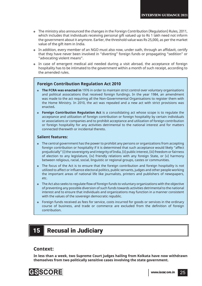- The ministry also announced the changes in the Foreign Contribution (Regulation) Rules, 2011, which includes that individuals receiving personal gift valued up to Rs 1 lakh need not inform the government about it anymore. Earlier, the threshold value was Rs 25,000, as per the market value of the gift item in India.
- In addition, every member of an NGO must also now, under oath, through an affidavit, certify that they have never been involved in "diverting" foreign funds or propagating "sedition" or "advocating violent means".
- In case of emergent medical aid needed during a visit abroad, the acceptance of foreign hospitality has to be intimated to the government within a month of such receipt, according to the amended rules.

#### **Foreign Contribution Regulation Act 2010**

- **The FCRA was enacted in** 1976 in order to maintain strict control over voluntary organisations and political associations that received foreign fundings. In the year 1984, an amendment was made to the act requiring all the Non-Governmental Organisations to register them with the Home Ministry. In 2010, the act was repealed and a new act with strict provisions was enacted**.**
- **Foreign Contribution Regulation Act** is a consolidating act whose scope is to regulate the acceptance and utilization of foreign contribution or foreign hospitality by certain individuals or associations or companies and to prohibit acceptance and utilization of foreign contribution or foreign hospitality for any activities detrimental to the national interest and for matters connected therewith or incidental thereto.

#### **Salient features:**

- The central government has the power to prohibit any persons or organizations from accepting foreign contribution or hospitality if it is determined that such acceptance would likely "affect prejudicially" (i) the sovereignty and integrity of India, (ii) public interest, (iii) freedom or fairness of election to any legislature, (iv) friendly relations with any foreign State, or (v) harmony between religious, racial, social, linguistic or regional groups, castes or communities.
- The focus of the Act is to ensure that the foreign contribution and foreign hospitality is not utilized to affect or influence electoral politics, public servants, judges and other people working the important areas of national life like journalists, printers and publishers of newspapers, etc.
- The Act also seeks to regulate flow of foreign funds to voluntary organizations with the objective of preventing any possible diversion of such funds towards activities detrimental to the national interest and to ensure that individuals and organizations may function in a manner consistent with the values of the sovereign democratic republic.
- Foreign funds received as fees for service, costs incurred for goods or services in the ordinary course of business, and trade or commerce are excluded from the definition of foreign contribution.

# 15 **Recusal in Judiciary**

#### **Context:**

**In less than a week, two Supreme Court judges hailing from Kolkata have now withdrawn themselves from two politically sensitive cases involving the state government.**

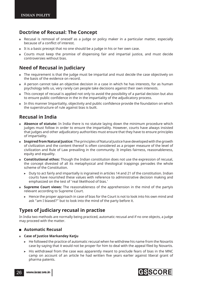### **Doctrine of Recusal: The Concept**

- Recusal is removal of oneself as a judge or policy maker in a particular matter, especially because of a conflict of interest.
- It is a basic precept that no one should be a judge in his or her own case.
- Courts must keep the promise of dispensing fair and impartial justice, and must decide controversies without bias.

# **Need of Recusal in Judiciary**

- The requirement is that the judge must be impartial and must decide the case objectively on the basis of the evidence on record.
- A person cannot take an objective decision in a case in which he has interests, for as human psychology tells us, very rarely can people take decisions against their own interests.
- This concept of recusal is applied not only to avoid the possibility of a partial decision but also to ensure public confidence in the in the impartiality of the adjudicatory process.
- In this manner Impartiality, objectivity and public confidence provide the foundation on which the superstructure of rule against bias is built.

# **Recusal in India**

- **Absence of statute:** In India there is no statute laying down the minimum procedure which judges must follow in order to ensure the impartiality. However, courts have always insisted that judges and other adjudicatory authorities must ensure that they have to ensure principles of impartiality.
- **Inspired from Natural Justice:** The principles of Natural Justice have developed with the growth of civilization and the content thereof is often considered as a proper measure of the level of civilization and Rule of Law prevailing in the community. It implies fairness, reasonableness, equity and equality.
- **Constitutional ethos:** Though the Indian constitution does not use the expression of recusal, the concept divested of all its metaphysical and theological trappings pervades the whole scheme of the Constitution.
	- $\triangleright$  Duty to act fairly and impartially is ingrained in articles 14 and 21 of the constitution. Indian courts have nourished these values with reference to administrative decision making and emphasized on the test of 'real likelihood of bias.'
- **Supreme Court views:** The reasonableness of the apprehension in the mind of the partyis relevant according to Supreme Court.
	- $\triangleright$  Hence the proper approach in case of bias for the Court is not to look into his own mind and ask "am I biased?" but to look into the mind of the party before it.

## **Types of judiciary recusal in practise**

In India two methods are normally being practiced, automatic recusal and if no one objects, a judge may proceed with the matter.

#### **Automatic Recusal**

- **Case of Justice Markandey Katju**
	- $\triangleright$  He followed the practice of automatic recusal when he withdrew his name from the Novartis case by saying that it would not be proper for him to deal with the appeal filed by Novartis.
	- $\triangleright$  His withdrawal from the case was apparently meant to preclude fears of bias in the MNC camp on account of an article he had written five years earlier against liberal grant of pharma patents.

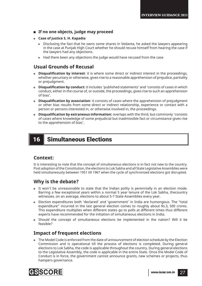#### **If no one objects, judge may proceed**

- **Case of Justice S. H. Kapadia**
	- $\triangleright$  Disclosing the fact that he owns some shares in Vedanta, he asked the lawyers appearing in the case at Punjab High Court whether he should recuse himself from hearing the case if the lawyers had any objections.
	- $\blacktriangleright$  Had there been any objections the judge would have recused from the case

### **Usual Grounds of Recusal**

- **Disqualifi cation by interest**: it is where some direct or indirect interest in the proceedings, whether pecuniary or otherwise, gives rise to a reasonable apprehension of prejudice, partiality or prejudgment.
- **Disqualification by conduct:** it includes 'published statements' and 'consists of cases in which conduct, either in the course of, or outside, the proceedings, gives rise to such an apprehension of bias'.
- **Disqualification by association**: it consists of cases where the apprehension of prejudgment or other bias results from some direct or indirect relationship, experience or contact with a person or persons interested in, or otherwise involved in, the proceedings.
- **Disqualifi cation by extraneous information:** overlaps with the third, but commonly 'consists of cases where knowledge of some prejudicial but inadmissible fact or circumstance gives rise to the apprehension of bias'.

# 16 Simultaneous Elections

### **Context:**

It is interesting to note that the concept of simultaneous elections is in-fact not new to the country. Post adoption of the Constitution, the elections to Lok Sabha and all State Legislative Assemblies were held simultaneously between 1951 till 1967 when the cycle of synchronized elections got disrupted.

### **Why is the debate?**

- It won't be unreasonable to state that the Indian polity is perennially in an election mode. Barring a few exceptional years within a normal 5 year tenure of the Lok Sabha, thecountry witnesses, on an average, elections to about 5-7 State Assemblies every year.
- Election expenditures both 'declared' and 'government' in India are humongous. The "total expenditure" incurred in the last general election comes to roughly about Rs.3, 500 crores. This expenditure multiplies when different states go to polls at different times thus different experts have recommended for the initiation of simultaneous elections in India.
- Should the concept of simultaneous elections be implemented in the nation? Will it be feasible?

### **Impact of frequent elections**

 The Model Code is enforced from the date of announcement of election schedule by the Election Commission and is operational till the process of elections is completed. During general elections to Lok Sabha, the code is applicable throughout the country. During general elections to the Legislative Assembly, the code is applicable in the entire State. Once the Model Code of Conduct is in force, the government cannot announce grants, new schemes or projects, thus hampers governance.

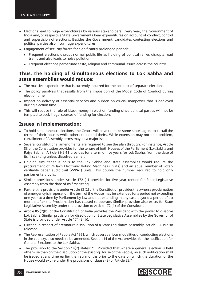- Elections lead to huge expenditures by various stakeholders. Every year, the Government of India and/or respective State Governments bear expenditures on account of conduct, control and supervision of elections. Besides the Government, candidates contesting elections and political parties also incur huge expenditures.
- Engagement of security forces for significantly prolonged periods:
	- $\triangleright$  Frequent elections disrupt normal public life as holding of political rallies disrupts road traffic and also leads to noise pollution.
	- $\triangleright$  Frequent elections perpetuate caste, religion and communal issues across the country.

### **Thus, the holding of simultaneous elections to Lok Sabha and state assemblies would reduce:**

- The massive expenditure that is currently incurred for the conduct of separate elections.
- The policy paralysis that results from the imposition of the Model Code of Conduct during election time.
- Impact on delivery of essential services and burden on crucial manpower that is deployed during election time.
- This will reduce the role of black money in election funding since political parties will not be tempted to seek illegal sources of funding for election.

### **Issues in implementation:**

- To hold simultaneous elections, the Centre will have to make some states agree to curtail the terms of their houses while others to extend theirs. While extension may not be a problem, curtailment of Assembly terms may be a major issue.
- Several constitutional amendments are required to see the plan through. For instance, Article 83 of the Constitution provides for the tenure of both Houses of the Parliament (Lok Sabha and Rajya Sabha). Article 83(2)11 provides for a term of five years for Lok Sabha, from the date of its first sitting unless dissolved earlier.
- Holding simultaneous polls to the Lok Sabha and state assemblies would require the procurement of 24 lakh Electronic Voting Machines (EVMs) and an equal number of voterverifiable paper audit trail (VVPAT) units. This double the number required to hold only parliamentary polls.
- o Similar provisions under Article 172 (1) provides for five year tenure for State Legislative Assembly from the date of its first sitting.
- Further, the provisions under Article 83 (2) of the Constitution provides that when a proclamation of emergency is in operation, the term of the House may be extended for a period not exceeding one year at a time by Parliament by law and not extending in any case beyond a period of six months after the Proclamation has ceased to operate. Similar provision also exists for State Legislative Assembly under the provision to Article 172 (1) of the Constitution.
- Article 85 (2)(b) of the Constitution of India provides the President with the power to dissolve Lok Sabha. Similar provision for dissolution of State Legislative Assemblies by the Governor of State is provided under Article 174 (2)(b).
- Further, in respect of premature dissolution of a State Legislative Assembly, Article 356 is also relevant.
- The Representation of People Act 1951, which covers various modalities of conducting elections in the country, also needs to be amended. Section 14 of the Act provides for the notification for General Elections to the Lok Sabha.
- The provision to the Section 14(2) states: "... Provided that where a general election is held otherwise than on the dissolution of the existing House of the People, no such notification shall be issued at any time earlier than six months prior to the date on which the duration of the House would expire under the provisions of clause (2) of Article 83."

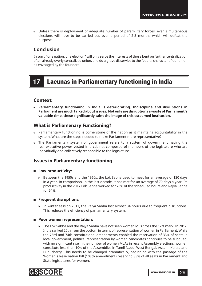Unless there is deployment of adequate number of paramilitary forces, even simultaneous elections will have to be carried out over a period of 2-3 months which will defeat the purpose.

### **Conclusion**

In sum, "one nation, one election" will only serve the interests of those bent on further centralization of an already overly centralized union, and do a grave disservice to the federal character of our union as envisaged by the founders

# 17 Lacunas in Parliamentary functioning in India

### **Context:**

 **Parliamentary functioning in India is deteriorating. Indiscipline and disruptions in Parliament are much talked about issues. Not only are disruptions a waste of Parliament's**  valuable time, these significantly taint the image of this esteemed institution.

### **What is Parliamenary Functioning?**

- Parliamentary functioning is cornerstone of the nation as it maintains accountability in the system. What are the steps needed to make Parliament more representative?
- The Parliamentary system of government refers to a system of government having the real executive power vested in a cabinet composed of members of the legislature who are individually and collectively responsible to the legislature.

### **Issues in Parliamentary functioning**

#### **Low productivity:**

! Between the 1950s and the 1960s, the Lok Sabha used to meet for an average of 120 days in a year. In comparison, in the last decade, it has met for an average of 70 days a year. Its productivity in the 2017 Lok Sabha worked for 78% of the scheduled hours and Rajya Sabha for 54%.

#### **Figure 1** Frequent disruptions:

In winter session 2017, the Rajya Sabha lost almost 34 hours due to frequent disruptions. This reduces the efficiency of parliamentary system.

#### ■ Poor women representation:

! The Lok Sabha and the Rajya Sabha have not seen women MPs cross the 12% mark. In 2012, India ranked 20th from the bottom in terms of representation of women in Parliament. While the 73rd and 74th constitutional amendments enabled the reservation of 33% of seats in local government, political representation by women candidates continues to be subdued, with no significant rise in the number of women MLAs in recent Assembly elections; women constitute less than 10% of the Assemblies in Tamil Nadu, West Bengal, Assam, Kerala and Puducherry. This needs to be changed dramatically, beginning with the passage of the Women's Reservation Bill (108th amendment) reserving 33% of all seats in Parliament and State legislatures for women.

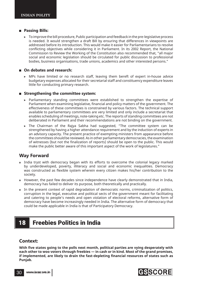#### **Passing Bills:**

 $\triangleright$  To improve the bill procedure, Public participation and feedback in the pre-legislative process is needed. It would strengthen a draft Bill by ensuring that differences in viewpoints are addressed before its introduction. This would make it easier for Parliamentarians to resolve conflicting objectives while considering it in Parliament. In its 2002 Report, the National Commission to Review the Working of the Constitution also recommended that, "all major social and economic legislation should be circulated for public discussion to professional bodies, business organisations, trade unions, academics and other interested persons."

#### **On debates and research:**

 $\triangleright$  MPs have limited or no research staff, leaving them bereft of expert in-house advice budgetary expenses allocated for their secretarial staff and constituency expenditure leaves little for conducting primary research.

#### **Strengthening the committee system:**

- ! Parliamentary standing committees were established to strengthen the expertise of Parliament when examining legislative, financial and policy matters of the government. The effectiveness of these committees is constrained by various factors. The technical support available to parliamentary committees are very limited and only include a secretariat that enables scheduling of meetings, note-taking etc. The reports of standing committees are not deliberated in Parliament and their recommendations are not binding on the government.
- ! The Chairman of the Rajya Sabha had suggested, "The committee system can be strengthened by having a higher attendance requirement and by the induction of experts in an advisory capacity. The present practice of exempting ministers from appearance before the committees should be reviewed. As in other parliamentary democracies, the examination of witnesses (but not the finalization of reports) should be open to the public. This would make the public better aware of this important aspect of the work of legislatures."

### **Way Forward**

- India tryst with democracy began with its efforts to overcome the colonial legacy marked by underdeveloped, poverty, illiteracy and social and economic inequalities. Democracy was constructed as flexible system wherein every citizen makes his/her contribution to the society.
- However, the past few decades since independence have clearly demonstrated that in India, democracy has failed to deliver its purpose, both theoretically and practically.
- In the present context of rapid degradation of democratic norms, criminalization of politics, corruption in the legal, executive and political sects of the government meant for facilitating and catering to people's needs and open violation of electoral reforms, alternative form of democracy have become increasingly needed in India. The alternative form of democracy that could be made applicable in India is that of Participatory Democracy.

# 18 Freebies Politics in India

#### **Context:**

With five states going to the polls next month, political parties are vying desperately with **each other to woo voters through freebies — in cash or in kind. Most of the grand promises,**  if implemented, are likely to drain the fast-depleting financial resources of states such as **Punjab.** 

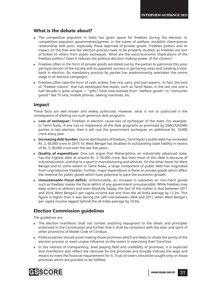### **What is the debate about?**

- The competitive populism in India has given space for freebies during the election. In competitive populism governments/parties, in the name of welfare, establish client-patron relationship with poor, especially those deprived of private goods. Freebies politics and its impact on the free and fair election process have to be properly studied, as freebies are sort of bribes to voters from public exchequer. What are the socio-economic implications of the freebies politics? Does it reduces the political decision making power of the citizens?
- Freebies often in the form of private goods are doled out by the parties to patronize this poor yet loyal section of the society and its apparent success in garnering votes and creating a votebank in election. Its mandatory practice by parties has predominantly overtaken the centre stage in all election campaigns.
- Freebies often take the form of cash, bribes, free rice, saris, and loan wavers. In fact, the kind of "freebie culture" that has developed few states, such as Tamil Nadu, in the last one and a half decade is quite unique — "gifts" have now evolved from "welfare goods" to "consumer goods" like TV sets, mobile phones, sewing machines, etc.

#### **Impact**

These facts are well known and widely publicized. However, what is not so publicized is the consequence of shelling out such generous dole programs.

- **Loss of exchequer:** Freebies in election cause loss of exchequer of the state. For example-In Tamil Nadu, if one has to implement all the dole programs as promised by DMK/AIADMK parties in last election, then it will cost the government exchequer an additional Rs. 10,000 crore every year.
- **Increasing debt burden:** Due to distribution of freebies, Tamil Nadu's public debt has exceeded Rs. 2, 00,000 crore in 2015-16. West Bengal has doubled its outstanding state liability in excess of Rs. 3, 00,000 crore over the last five years.
- **Quality of expenditure:** One can argue that Maharashtra, an industrially advanced state, has the highest debt at around Rs. 3, 50,000 crore. But then most of this debt is because of industrialization, and due to a spurt in manufacturing and services. On the other hand, for West Bengal and to some extent in Tamil Nadu, a large component of public debt has originated from unproductive freebies. Further, major expenditure is done on private goods which affect the revenue for public goods which have potential to pace the economic growth.
- **Unsustainable Fiscal deficit:** Unfortunately, an increase in subsidies on non-merit goods such as freebies makes the fiscal deficit of any government unsustainable. While freebies may keep voters in oblivion and even blissfully happy, the fact of the matter is that between 2011 and 2014, West Bengal's per capita income was less than the all-India average by 12.2%. This figure is higher than it was during the Left rule between 2004 and 2011, when West Bengal's per capita income lagged behind the all-India average by 10.4%.

### **Election Commission guidelines**

The guidelines are:

- The election manifesto shall not contain anything repugnant to the ideals and principles enshrined in the Constitution and further that it shall be consistent with the later and spirit of other provisions of Model Code of Conduct.
- Political parties should avoid making those promises which are likely to vitiate the purity of the election process or exert undue influence on the voters in exercising their franchise.
- In the interest of transparency, level playing field and credibility of promises, it is expected that manifestos also reflect the rationale for the promises and broadly indicate the ways and means to meet the financial requirements for it. Trust of voters should be sought only on those promises which are possible to be fulfilled.

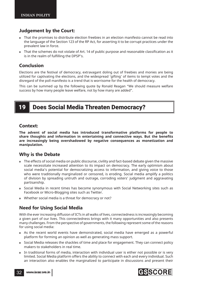### **Judgement by the Court:**

- That the promises to distribute election freebies in an election manifesto cannot be read into the language of the Section 123 of the RP Act, for asserting it to be corrupt practices under the prevalent law in force.
- That the schemes do not violate of Art. 14 of public purpose and reasonable classification as it is in the realm of fulfilling the DPSP's.

### **Conclusion**

Elections are the festival of democracy, extravagant doling out of freebies and monies are being utilized for captivating the elections, and the widespread 'gifting' of items to tempt votes and the disregard of the poll manifesto is a trend that is worrisome for the health of democracy.

This can be summed up by the following quote by Ronald Reagan "We should measure welfare success by how many people leave welfare, not by how many are added".

# 19 Does Social Media Threaten Democracy?

#### **Context:**

**The advent of social media has introduced transformative platforms for people to**  share thoughts and information in entertaining and connective ways. But the benefits **are increasingly being overshadowed by negative consequences as monetization and manipulation.** 

### **Why is the Debate**

- The effects of social media on public discourse, civility and fact-based debate given the massive scale necessitate increased attention to its impact on democracy. The early optimism about social media's potential for democratizing access to information, and giving voice to those who were traditionally marginalized or censored, is eroding. Social media amplify a politics of division by spreading untruth and outrage, corroding voters' judgment and aggravating partisanship.
- Social Media in recent times has become synonymous with Social Networking sites such as Facebook or Micro-Blogging sites such as Twitter.
- Whether social media is a threat for democracy or not?

### **Need for Using Social Media**

With the ever increasing diffusion of ICTs in all walks of lives, connectedness is increasingly becoming a given part of our lives. This connectedness brings with it many opportunities and also presents many challenges. From the perspective of governments, the following represent some of the reasons for using social media:

- As the recent world events have demonstrated, social media have emerged as a powerful platform for forming an opinion as well as generating mass support.
- Social Media releases the shackles of time and place for engagement. They can connect policy makers to stakeholders in real time.
- In traditional forms of media, interaction with individual user is either not possible or is very limited. Social Media platform offers the ability to connect with each and every individual. Such an interaction also enables the marginalized to participate in discussions and present their

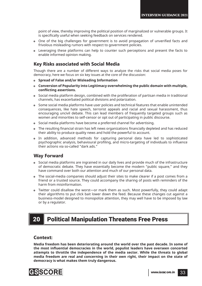point of view, thereby improving the political position of marginalized or vulnerable groups. It is specifically useful when seeking feedback on services rendered.

- One of the big challenges for government is to avoid propagation of unverified facts and frivolous misleading rumors with respect to government policies.
- Leveraging these platforms can help to counter such perceptions and present the facts to enable informed opinion making.

#### **Key Risks associated with Social Media**

Though there are a number of different ways to analyze the risks that social media poses for democracy, here we focus on six key issues at the core of the discussion:

- **Spread of False and/or Misleading Information**
- **Conversion of Popularity into Legitimacy overwhelming the public domain with multiple, confl icting assertions.**
- Social media platform design, combined with the proliferation of partisan media in traditional channels, has exacerbated political divisions and polarization.
- Some social media platforms have user policies and technical features that enable unintended consequences, like hate speech, terrorist appeals and racial and sexual harassment, thus encouraging uncivil debate. This can lead members of frequently targeted groups such as women and minorities to self-censor or opt out of participating in public discourse.
- Social media platforms have become a preferred channel for advertising.
- The resulting financial strain has left news organizations financially depleted and has reduced their ability to produce quality news and hold the powerful to account.
- In addition, advanced methods for capturing personal data have led to sophisticated psychographic analysis, behavioural profiling, and micro-targeting of individuals to influence their actions via so-called "dark ads."

### **Way Forward**

- Social media platforms are ingrained in our daily lives and provide much of the infrastructure of democratic debate. They have essentially become the modern "public square," and they have command over both our attention and much of our personal data.
- The social-media companies should adjust their sites to make clearer if a post comes from a friend or a trusted source. They could accompany the sharing of posts with reminders of the harm from misinformation.
- Twitter could disallow the worst—or mark them as such. Most powerfully, they could adapt their algorithms to put click bait lower down the feed. Because these changes cut against a business-model designed to monopolize attention, they may well have to be imposed by law or by a regulator.

# 20 Political Manipulation Threatens Free Press

#### **Context:**

**Media freedom has been deteriorating around the world over the past decade. In some of**  the most influential democracies in the world, populist leaders have overseen concerted **attempts to throttle the independence of the media sector. While the threats to global media freedom are real and concerning in their own right, their impact on the state of democracy is what makes them truly dangerous.** 

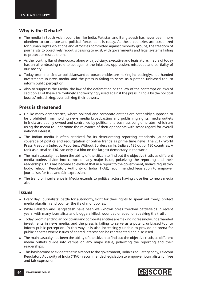### **Why is the Debate?**

- The media in South Asian countries like India, Pakistan and Bangladesh has never been more obedient to corporate and political forces as it is today. As these countries are scrutinized for human rights violations and atrocities committed against minority groups, the freedom of journalists to objectively report is ceasing to exist, with governments and legal systems failing to protect or rescue them.
- As the fourth pillar of democracy along with judiciary, executive and legislature, media of today has an all-embracing role to act against the injustice, oppression, misdeeds and partiality of our society.
- Today, prominent Indian politicians and corporate entities are making increasingly underhanded investments in news media, and the press is failing to serve as a potent, unbiased tool to inform public perception.
- Also to suppress the Media, the law of the defamation or the law of the contempt or laws of sedition all of these are routinely and worryingly used against the press in India by the political bosses' misutilizing/over utilizing their powers.

### **Press is threatened**

- Unlike many democracies, where political and corporate entities are ostensibly supposed to be prohibited from holding news media broadcasting and publishing rights, media outlets in India are openly owned and controlled by political and business conglomerates, which are using the media to undermine the relevance of their opponents with scant regard for overall national interest.
- The Indian media is often criticized for its deteriorating reporting standards, jaundiced coverage of politics and regurgitation of online trends as prime time news. The 2017 World Press Freedom Index by Reporters, Without Borders ranks India at 136 out of 180 countries. A rank as dismal as 136, can only is a blot on the largest democracy in the world.
- The main casualty has been the ability of the citizen to find out the objective truth, as different media outlets divide into camps on any major issue, polarizing the reporting and their readerships. This has become so evident that in a report to the government, India's regulatory body, Telecom Regulatory Authority of India (TRAI), recommended legislation to empower journalists for free and fair expression.
- The trend of interference in Media extends to political actors having close ties to news media also.

#### **Issues**

- Every day, journalists' battle for autonomy, fight for their rights to speak out freely, protect media pluralism and counter the ills of monopolies.
- While Pakistan and Bangladesh have been well-known press freedom battlefields in recent years, with many journalists and bloggers killed, wounded or sued for speaking the truth.
- Today, prominent Indian politicians and corporate entities are making increasingly underhanded investments in news media, and the press is failing to serve as a potent, unbiased tool to inform public perception. In this way, it is also increasingly unable to provide an arena for public debates where issues of shared interest can be represented and discussed.
- The main casualty has been the ability of the citizen to find out the objective truth, as different media outlets divide into camps on any major issue, polarizing the reporting and their readerships.
- This has become so evident that in a report to the government, India's regulatory body, Telecom Regulatory Authority of India (TRAI), recommended legislation to empower journalists for free and fair expression.

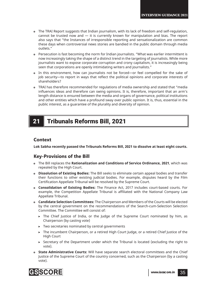- The TRAI Report suggests that Indian journalism, with its lack of freedom and self-regulation, cannot be trusted now and  $-$  it is currently known for manipulation and bias. The report also says that "the Instances of irresponsible reporting and sensationalization are common these days when controversial news stories are bandied in the public domain through media outlets."
- Persecution is fast becoming the norm for Indian journalists. "What was earlier intermittent is now increasingly taking the shape of a distinct trend in the targeting of journalists. While more journalists want to expose corporate corruption and crony capitalism, it is increasingly being seen that corporations are openly intimidating writers and journalists."
- In this environment, how can journalists not be forced—or feel compelled for the sake of job security—to report in ways that reflect the political opinions and corporate interests of shareholders?
- TRAI has therefore recommended for regulations of media ownership and stated that "media influences ideas and therefore can swing opinions. It is, therefore, important that an arm's length distance is ensured between the media and organs of governance, political institutions and other entities which have a profound sway over public opinion. It is, thus, essential in the public interest, as a guarantee of the plurality and diversity of opinion.

# 21 Tribunals Reforms Bill, 2021

#### **Context**

**Lok Sabha recently passed the Tribunals Reforms Bill, 2021 to dissolve at least eight courts.**

### **Key-Provisions of the Bill**

- The Bill replaces the **Rationalization and Conditions of Service Ordinance, 2021**, which was repealed by the High Court.
- **Dissolution of Existing Bodies:** The Bill seeks to eliminate certain appeal bodies and transfer their functions to other existing judicial bodies. For example, disputes heard by the Film Certification Appellate Tribunal will be resolved by the Supreme Court.
- **Consolidation of Existing Bodies:** The Finance Act, 2017 includes court-based courts. For example, the Competition Appellate Tribunal is affiliated with the National Company Law Appellate Tribunal.
- **Candidate Selection Committees:** The Chairperson and Members of the Courts will be elected by the central government on the recommendations of the Search-cum-Selection Selection Committee. The Committee will consist of:
	- $\triangleright$  The Chief Justice of India, or the Judge of the Supreme Court nominated by him, as Chairperson (by casting vote)
	- $\triangleright$  Two secretaries nominated by central governments
	- $\triangleright$  The incumbent Chairperson, or a retired High Court Judge, or a retired Chief Justice of the High Court
	- $\triangleright$  Secretary of the Department under which the Tribunal is located (excluding the right to vote).
- **State Administrative Courts:** Will have separate search electoral committees and the Chief Justice of the Supreme Court of the country concerned, such as the Chairperson (by a casting vote).

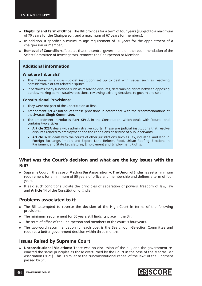- **Eligibility and Term of Offi ce:** The Bill provides for a term of four years (subject to a maximum of 70 years for the Chairperson, and a maximum of 67 years for members).
- In addition, it specifies a minimum age requirement of 50 years for the appointment of a chairperson or member.
- **Removal of Councillors:** It states that the central government, on the recommendation of the Select Committee of Investigators, removes the Chairperson or Member.

#### **Additional information**

#### **What are tribunals?**

- The Tribunal is a quasi-judicial institution set up to deal with issues such as resolving administrative or tax-related disputes.
- It performs many functions such as resolving disputes, determining rights between opposing parties, making administrative decisions, reviewing existing decisions to govern and so on.

#### **Constitutional Provisions:**

- They were not part of the Constitution at first.
- Amendment Act 42 introduces these provisions in accordance with the recommendations of the **Swaran Singh Committee.**
- The amendment introduces **Part XIV-A** in the Constitution, which deals with 'courts' and contains two articles:
	- ! **Article 323A** deals with administrative courts. These are judicial institutions that resolve disputes related to employment and the conditions of service of public servants.
	- ! **Article 323B** deals with the courts of other jurisdictions such as Tax, industrial and labour, Foreign Exchange, Import and Export, Land Reform, Food, Urban Roofing, Elections in Parliament and State Legislatures, Employment and Employment Rights.

#### **What was the Court's decision and what are the key issues with the Bill?**

- Supreme Court in the case of **Madras Bar Association v. The Union of India** has set a minimum requirement for a minimum of 50 years of office and membership and defines a term of four years.
- It said such conditions violate the principles of separation of powers, freedom of law, law and **Article 14** of the Constitution of India.

### **Problems associated to it:**

- The Bill attempted to reverse the decision of the High Court in terms of the following provisions:
- The minimum requirement for 50 years still finds its place in the Bill.
- The term of office of the Chairperson and members of the court is four years.
- The two-word recommendation for each post is the Search-cum-Selection Committee and requires a better government decision within three months.

### **Issues Raised by Supreme Court**

 **Unconstitutional Violations:** There was no discussion of the bill, and the government reenacted the same principles as those overturned by the Court in the case of the Madras Bar Association (2021). This is similar to the "unconstitutional repeal of the law" of the judgment passed by SC.



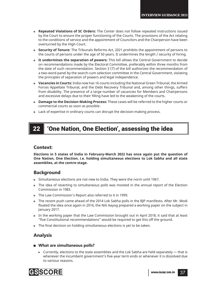- **Repeated Violations of SC Orders:** The Center does not follow repeated instructions issued by the Court to ensure the proper functioning of the Courts. The provisions of the Act relating to the conditions of service and the appointment of Councilors and the Chairperson have been overturned by the High Court.
- **Security of Tenure:** The Tribunals Reforms Act, 2021 prohibits the appointment of persons to the courts of persons under the age of 50 years. It undermines the length / security of hiring.
- **It undermines the separation of powers:** This bill allows the Central Government to decide on recommendations made by the Electoral Committee, preferably within three months from the date of such recommendation. Section 3 (7) of the bill authorizes the recommendation of a two-word panel by the search-cum selection committee in the Central Government, violating the principles of separation of powers and legal independence.
- **Vacancies in Courts:** India now has 16 courts including the National Green Tribunal, the Armed Forces Appellate Tribunal, and the Debt Recovery Tribunal and, among other things, suffers from disability. The presence of a large number of vacancies for Members and Chairpersons and excessive delays due to their filling have led to the weakening of the courts.
- **Damage to the Decision-Making Process:** These cases will be referred to the higher courts or commercial courts as soon as possible.
- Lack of expertise in ordinary courts can disrupt the decision-making process.

# 22 Cone Nation, One Election', assessing the idea

#### **Context:**

**Elections in 5 states of India in February-March 2022 has once again put the question of One Nation, One Election, i.e. holding simultaneous elections to Lok Sabha and all state assemblies, at the centre-stage.**

### **Background**

- Simultaneous elections are not new to India. They were the norm until 1967.
- The idea of reverting to simultaneous polls was mooted in the annual report of the Election Commission in 1983.
- The Law Commission's Report also referred to it in 1999.
- The recent push came ahead of the 2014 Lok Sabha polls in the BJP manifesto. After Mr. Modi floated the idea once again in 2016, the Niti Aayog prepared a working paper on the subject in January 2017.
- In the working paper that the Law Commission brought out in April 2018, it said that at least "five Constitutional recommendations" would be required to get this off the ground.
- The final decision on holding simultaneous elections is yet to be taken.

### **Analysis**

#### **What are simultaneous polls?**

 $\triangleright$  Currently, elections to the state assemblies and the Lok Sabha are held separately — that is whenever the incumbent government's five-year term ends or whenever it is dissolved due to various reasons.

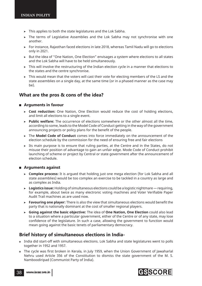- $\triangleright$  This applies to both the state legislatures and the Lok Sabha.
- ! The terms of Legislative Assemblies and the Lok Sabha may not synchronise with one another.
- ! For instance, Rajasthan faced elections in late 2018, whereas Tamil Nadu will go to elections only in 2021.
- $\triangleright$  But the idea of "One Nation, One Election" envisages a system where elections to all states and the Lok Sabha will have to be held simultaneously.
- $\triangleright$  This will involve the restructuring of the Indian election cycle in a manner that elections to the states and the centre synchronise.
- $\triangleright$  This would mean that the voters will cast their vote for electing members of the LS and the state assemblies on a single day, at the same time (or in a phased manner as the case may be).

#### **What are the pros & cons of the idea?**

#### **Arguments in favour**

- ! **Cost reduction:** One Nation, One Election would reduce the cost of holding elections, and limit all elections to a single event.
- ! **Public welfare:** The occurrence of elections somewhere or the other almost all the time, according to some, leads to the Model Code of Conduct getting in the way of the government announcing projects or policy plans for the benefit of the people.
- ! The **Model Code of Conduct** comes into force immediately on the announcement of the election schedule by the commission for the need of ensuring free and fair elections
- $\triangleright$  Its main purpose is to ensure that ruling parties, at the Centre and in the States, do not misuse their position of advantage to gain an unfair edge. Mode Code of Conduct prohibit launching of scheme or project by Central or state government after the announcement of election schedule.

#### **Arguments against**

- ! **Complex process:** It is argued that holding just one mega election (for Lok Sabha and all state assemblies) would be too complex an exercise to be tackled in a country as large and as complex as India.
- ! **Logistics issue:** Holding of simultaneous elections could be a logistic nightmare requiring, for example, about twice as many electronic voting machines and Voter Verifiable Paper Audit Trail machines as are used now.
- $\triangleright$  **Favouring one player:** There is also the view that simultaneous elections would benefit the party that is nationally dominant at the cost of smaller regional players.
- ! **Going against the basic objective:** The idea of **One Nation, One Election** could also lead to a situation where a particular government, either of the Centre or of any state, may lose confidence of the legislature. In such a case, allowing the government to function would mean going against the basic tenets of parliamentary democracy.

### **Brief history of simultaneous elections in India-**

- India did start-off with simultaneous elections. Lok Sabha and state legislatures went to polls together in 1952 and 1957.
- The cycle was first broken in Kerala, in July 1959, when the Union Government of Jawaharlal Nehru used Article 356 of the Constitution to dismiss the state government of the M. S. Namboodiripad (Communist Party of India).

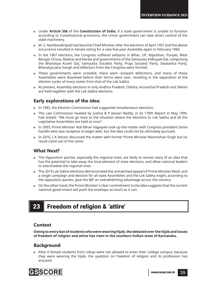- Under **Article 356** of the **Constitution of India**, if a state government is unable to function according to Constitutional provisions, the Union government can take direct control of the state machinery.
- M. S. Namboodiripad had become Chief Minister after the elections of April 1957 and the above occurrence resulted in Kerala voting for a new five-year Assembly again in February 1960.
- In the 1967 elections, the Congress suffered setbacks in Bihar, UP, Rajasthan, Punjab, West Bengal, Orissa, Madras and Kerala and governments of the Samyukta Vidhayak Dal, comprising the Bharatiya Kranti Dal, Samyukta Socialist Party, Praja Socialist Party, Swatantra Party, Bharatiya Jana Sangh and defectors from the Congress were formed.
- These governments were unstable, there were rampant defections, and many of these Assemblies were dissolved before their terms were over, resulting in the separation of the election cycles of many states from that of the Lok Sabha.
- At present, Assembly elections in only Andhra Pradesh, Odisha, Arunachal Pradesh and Sikkim are held together with the Lok Sabha elections.

### **Early explorations of the idea:**

- In 1983, the Election Commission had suggested simultaneous elections.
- The Law Commission headed by Justice B P Jeevan Reddy, in its 170th Report in May 1999, had stated: "We must go back to the situation where the elections to Lok Sabha and all the Legislative Assemblies are held at once".
- In 2003, Prime Minister Atal Bihari Vajpayee took up the matter with Congress president Sonia Gandhi who was receptive to begin with, but the idea could not be ultimately pursued.
- In 2010, L K Advani discussed the matter with former Prime Minister Manmohan Singh but no result came out of the same.

### **What Next?**

- The Opposition parties, especially the regional ones, are likely to remain wary of an idea that has the potential to take away the local element of state elections, and allow national leaders to overshadow the regional ones.
- The 2019 Lok Sabha elections demonstrated the unmatched appeal of Prime Minister Modi, and a single campaign and election for all state Assemblies and the Lok Sabha might, according to the opposition parties, give the BJP an overwhelming advantage across the country.
- On the other hand, the Prime Minister's clear commitment to the idea suggests that the current national government will push the envelope as much as it can.

# 23 Freedom of religion & 'attire'

### **Context**

**Owing to entry ban of students who were wearing hijab, the debated over the hijab and issues of freedom of religion and attire has risen in the southern Indian state of Karnataka.**

### **Background**

 After 6 female students from Udupi were not allowed to enter their college campus, because they were wearing the hijab, the question on freedom of religion and its profession has aroused.

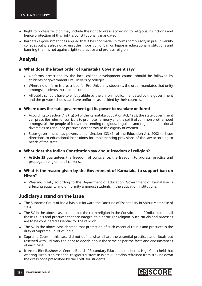- Right to profess religion may include the right to dress according to religious injunctions and hence protection of this right is constitutionally mandated.
- Karnataka government has argued that it has not made uniforms compulsory in pre-university colleges but it is also not against the imposition of ban on hijabs in educational institutions and banning them is not against right to practice and profess religion.

### **Analysis**

#### **What does the latest order of Karnataka Government say?**

- ! Uniforms prescribed by the local college development council should be followed by students of government Pre-University colleges.
- ! Where no uniform is prescribed for Pre-University students, the order mandates that unity amongst students must be ensured.
- $\triangleright$  All public schools have to strictly abide by the uniform policy mandated by the government and the private schools can have uniforms as decided by their councils.
- **Where does the state government get its power to mandate uniform?**
	- $\triangleright$  According to Section 7 (2) (g) (v) of the Karnataka Education Act, 1983, the state government can prescribe rules for curricula to promote harmony and the spirit of common brotherhood amongst all the people of India transcending religious, linguistic and regional or sectional diversities to renounce practices derogatory to the dignity of women.
	- ! State government has powers under Section 133 (2) of the Education Act, 2002 to issue directions to educational institutions for implementing provisions of the law according to needs of the state.
- **What does the Indian Constitution say about freedom of religion?**
	- ! **Article 25** guarantees the freedom of conscience, the freedom to profess, practice and propagate religion to all citizens.
- **What is the reason given by the Government of Karnataka to support ban on Hizab?**
	- ! Wearing hizab, according to the Department of Education, Government of Karnataka- is affecting equality and uniformity amongst students in the education institutions.

### **Judiciary's stand on the issue**

- The Supreme Court of India has put forward the Doctrine of Essentiality in Shirur Matt case of 1954.
- The SC in the above case stated that the term religion in the Constitution of India included all those rituals and practices that are integral to a particular religion. Such rituals and practises are to be considered essential for the religion.
- The SC in the above case decreed that protection of such essential rituals and practices is the duty of Supreme Court of India.
- o Supreme Court in this case did not define what all are the essential practices and rituals but reserved with judiciary the right to decide about the same as per the facts and circumstances of each case.
- In Amna Bint Basheer vs Central Board of Secondary Education, the Kerala High Court held that wearing Hizab is an essential religious custom in Islam. But it also refrained from striking down the dress code prescribed by the CSBE for students.

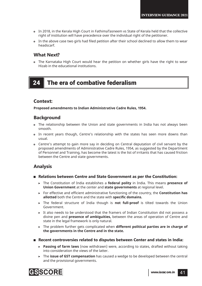- In 2018, in the Kerala High Court in FathimaTasneem vs State of Kerala held that the collective right of institution will have precedence over the individual right of the petitioner.
- In the above case two girls had filed petition after their school declined to allow them to wear headscarf.

### **What Next?**

 The Karnataka High Court would hear the petition on whether girls have the right to wear Hizab in the educational institutions.

# 24 The era of combative federalism

#### **Context:**

**Proposed amendments to Indian Administrative Cadre Rules, 1954.**

### **Background**

- The relationship between the Union and state governments in India has not always been smooth.
- In recent years though, Centre's relationship with the states has seen more downs than usual.
- Centre's attempt to gain more say in deciding on Central deputation of civil servant by the proposed amendments of Administrative Cadre Rules, 1954, as suggested by the Department of Personnel and Training, has become the latest is the list of irritants that has caused friction between the Centre and state governments.

### **Analysis**

- **Relations between Centre and State Government as per the Constitution:**
	- ! The Constitution of India establishes a **federal polity** in India. This means **presence of Union Government** at the center and **state governments** at regional level.
	- ▶ For effective and efficient administrative functioning of the country, the **Constitution has allotted** both the Centre and the state with **specific domains.**
	- ! The federal structure of India though is **not full-proof** is tilted towards the Union Government.
	- $\triangleright$  It also needs to be understood that the framers of Indian Constitution did not possess a divine pen and **presence of ambiguities,** between the areas of operation of Centre and state in the legal framework is only natural.
	- ! The problem further gets complicated when **different political parties are in charge of the governments in the Centre and in the state.**
- **Recent controversies related to disputes between Center and states in India:**
	- **Passing of farm laws** (now withdrawn) were, according to states, drafted without taking into consideration the views of the latter.
	- ! The **issue of GST compensation** has caused a wedge to be developed between the central and the provisional governments.

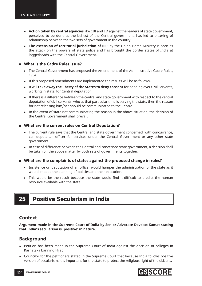- ! **Action taken by central agencies** like CBI and ED against the leaders of state government, perceived to be done at the behest of the Central government, has led to bittering of relationship between the two sets of government in the country.
- **The extension of territorial jurisdiction of BSF** by the Union Home Ministry is seen as the attack on the powers of state police and has brought the border states of India at loggerheads with the Central Government.

#### **What is the Cadre Rules issue?**

- ! The Central Government has proposed the Amendment of the Administrative Cadre Rules, 1954.
- $\triangleright$  If this proposed amendments are implemented the results will be as follows-
- ! It will **take away the liberty of the States to deny consent** for handing over Civil Servants, working in state, for Central deputation.
- $\triangleright$  If there is a difference between the central and state government with respect to the central deputation of civil servants, who at that particular time is serving the state, then the reason for not releasing him/her should be communicated to the Centre.
- $\triangleright$  In the event of state not communicating the reason in the above situation, the decision of the Central Government shall prevail.

#### **What are the current rules on Central Deputation?**

- $\triangleright$  The current rule says that the Central and state government concerned, with concurrence, can depute an officer for services under the Central Government or any other state government.
- ! In case of difference between the Central and concerned state government, a decision shall be taken on the above matter by both sets of governments together.
- **What are the complaints of states against the proposed change in rules?**
	- $\triangleright$  Insistence on deputation of an officer would hamper the administration of the state as it would impede the planning of policies and their execution.
	- $\triangleright$  This would be the result because the state would find it difficult to predict the human resource available with the state.

# 25 Positive Secularism in India

#### **Context**

**Argument made in the Supreme Court of India by Senior Advocate Devdatt Kamat stating that India's secularism is 'positive' in nature.**

### **Background**

- Petition has been made in the Supreme Court of India against the decision of colleges in Karnataka banning Hijab.
- Councilor for the petitioners stated in the Supreme Court that because India follows positive version of secularism, it is important for the state to protect the religious right of the citizens.

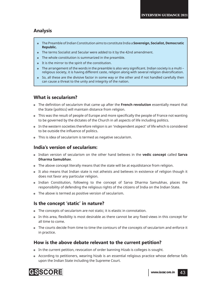### **Analysis**

- The Preamble of Indian Constitution aims to constitute India a **Sovereign, Socialist, Democratic Republic.**
- The terms Socialist and Secular were added to it by the 42nd amendment.
- The whole constitution is summarized in the preamble.
- It is the mirror to the spirit of the constitution.
- The arrangement of the words in the preamble is also very significant. Indian society is a multi religious society, it is having different caste, religion along with several religion diversification.
- So, all these are the divisive factor in some way or the other and if not handled carefully then can cause a threat to the unity and integrity of the nation.

### **What is secularism?**

- **•** The definition of secularism that came up after the **French revolution** essentially meant that the State (politics) will maintain distance from religion.
- This was the result of people of Europe and more specifically the people of France not wanting to be governed by the dictates of the Church in all aspects of life including politics.
- In the western societies therefore religion is an 'independent aspect' of life which is considered to be outside the influence of politics.
- This is idea of secularism is termed as negative secularism.

### **India's version of secularism:**

- Indian version of secularism on the other hand believes in the **vedic concept** called **Sarva Dharma Samubhav**.
- The above concept literally means that the state will be at equidistance from religion.
- It also means that Indian state is not atheists and believes in existence of religion though it does not favor any particular religion.
- Indian Constitution, following to the concept of Sarva Dharma Samubhav, places the responsibility of defending the religious rights of the citizens of India on the Indian State.
- The above is termed as positive version of secularism.

### **Is the concept 'static' in nature?**

- The concepts of secularism are not static; it is elastic in connotation.
- In this area, flexibility is most desirable as there cannot be any fixed views in this concept for all time to come.
- The courts decide from time to time the contours of the concepts of secularism and enforce it in practice.

### **How is the above debate relevant to the current petition?**

- In the current petition, revocation of order banning Hizab is colleges is sought.
- According to petitioners, wearing hizab is an essential religious practice whose defense falls upon the Indian State including the Supreme Court.

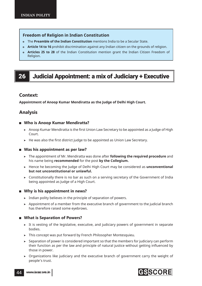#### **Freedom of Religion in Indian Constitution**

- The **Preamble of the Indian Constitution** mentions India to be a Secular State.
- **Article 14 to 16** prohibit discrimination against any Indian citizen on the grounds of religion.
- **Articles 25 to 28** of the Indian Constitution mention grant the Indian Citizen Freedom of Religion.

# 26 Judicial Appointment: a mix of Judiciary + Executive

#### **Context:**

**Appointment of Anoop Kumar Mendiratta as the Judge of Delhi High Court.**

### **Analysis**

- **Who is Anoop Kumar Mendiratta?**
	- $\triangleright$  Anoop Kumar Mendiratta is the first Union Law Secretary to be appointed as a Judge of High Court.
	- $\blacktriangleright$  He was also the first district judge to be appointed as Union Law Secretary.

#### **Was his appointment as per law?**

- ! The appointment of Mr. Mendiratta was done after **following the required procedure** and his name being **recommended** for the post **by the Collegium.**
- ! Hence he becoming the Judge of Delhi High Court may be considered as **unconventional but not unconstitutional or unlawful.**
- $\triangleright$  Constitutionally there is no bar as such on a serving secretary of the Government of India being appointed as Judge of a High Court.

#### **Why is his appointment in news?**

- $\triangleright$  Indian polity believes in the principle of separation of powers.
- $\triangleright$  Appointment of a member from the executive branch of government to the judicial branch has therefore raised some eyebrows.

#### **What is Separation of Powers?**

- $\triangleright$  It is vesting of the legislative, executive, and judiciary powers of government in separate bodies.
- ! This concept was put forward by French Philosopher Montesquieu.
- $\triangleright$  Separation of power is considered important so that the members for judiciary can perform their function as per the law and principle of natural justice without getting influenced by those in power.
- $\triangleright$  Organizations like judiciary and the executive branch of government carry the weight of people's trust.

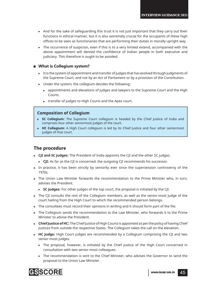- $\triangleright$  And for the sake of safeguarding this trust it is not just important that they carry out their functions in ethical manner, but it is also extremely crucial for the occupants of these high offices to be seen as functionaries that are performing their duties in morally upright way.
- $\triangleright$  The occurrence of suspicion, even if this is to a very limited extend, accompanied with the above appointment will dented the confidence of Indian people in both executive and judiciary. This therefore is ought to be avoided.

#### **What is Collegium system?**

- $\triangleright$  It is the system of appointment and transfer of judges that has evolved through judgments of the Supreme Court, and not by an Act of Parliament or by a provision of the Constitution.
- $\blacktriangleright$  Under the system, the collegium decides the following:
	- appointments and elevations of judges and lawyers to the Supreme Court and the High Courts.
	- transfer of judges to High Courts and the Apex court.

#### **Composition of Collegium**

- **SC Collegium:** The Supreme Court collegium is headed by the Chief Justice of India and comprises four other seniormost judges of the court.
- **HC Collegium:** A High Court collegium is led by its Chief Justice and four other seniormost judges of that court.

### **The procedure**

- **CJI and SC Judges:** The President of India appoints the CJI and the other SC judges.
	- ► CJI: As far as the CJI is concerned, the outgoing CJI recommends his successor.
- In practice, it has been strictly by seniority ever since the supersession controversy of the 1970s.
- The Union Law Minister forwards the recommendation to the Prime Minister who, in turn, advises the President.
	- ! **SC Judges:** For other judges of the top court, the proposal is initiated by the CJI.
- The CJI consults the rest of the Collegium members, as well as the senior-most judge of the court hailing from the High Court to which the recommended person belongs.
- The consultees must record their opinions in writing and it should form part of the file.
- The Collegium sends the recommendation to the Law Minister, who forwards it to the Prime Minister to advise the President.
- **Chief Justice of HC:** The Chief Justice of High Courts is appointed as per the policy of having Chief Justices from outside the respective States. The Collegium takes the call on the elevation.
- **HC Judge:** High Court judges are recommended by a Collegium comprising the CJI and two senior-most judges.
	- $\triangleright$  The proposal, however, is initiated by the Chief Justice of the High Court concerned in consultation with two senior-most colleagues.
	- ! The recommendation is sent to the Chief Minister, who advises the Governor to send the proposal to the Union Law Minister.

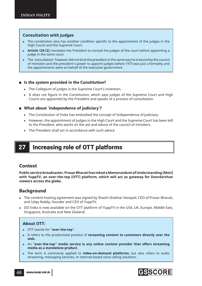#### **Consultation with Judges**

- The constitution also has another condition specific to the appointment of the judges in the High Courts and the Supreme Court.
- **Article 124 (2)** mandates the President to consult the judges of the court before appointing a judge in the same court.
- The 'consultation' however did not bind the president in the same way he is bound by the council of ministers and the president's power to appoint judges before 1973 was just a formality and the appointments were on behalf of the executive government.

#### **Is the system provided in the Constitution?**

- ▶ The Collegium of judges is the Supreme Court's invention.
- $\triangleright$  It does not figure in the Constitution, which says judges of the Supreme Court and High Courts are appointed by the President and speaks of a process of consultation.

#### **What about 'independence of judiciary'?**

- $\triangleright$  The Constitution of India has embodied the concept of Independence of Judiciary.
- ! However, the appointment of judges in the High Court and the Supreme Court has been left to the President, who works on the aid and advice of the council of ministers.
- ! The President shall act in accordance with such advice

# 27 Increasing role of OTT platforms

### **Context**

**Public service broadcaster, Prasar Bharati has inked a Memorandum of Understanding (MoU) with YuppTV, an over-the-top (OTT) platform, which will act as gateway for Doordarshan viewers across the globe.** 

### **Background**

- The content hosting agreement was signed by Shashi Shekhar Vempati, CEO of Prasar Bharati, and Uday Reddy, founder and CEO of YuppTV.
- DD India is now available on the OTT platform of YuppTV in the USA, UK, Europe, Middle East, Singapore, Australia and New Zealand.

#### **About OTT:**

- OTT stands for "**over-the-top**".
- It refers to the productized practice of **streaming content to customers directly over the web.**
- An "**over-the-top" media service is any online content provider that offers streaming media as a standalone product**.
- The term is commonly applied to **video-on-demand platforms**, but also refers to audio streaming, messaging services, or internet-based voice calling solutions.

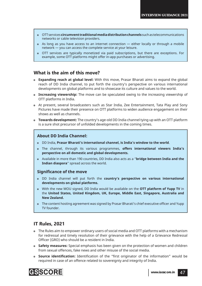- OTT services **circumvent traditional media distribution channels** such as telecommunications networks or cable television providers.
- As long as you have access to an internet connection either locally or through a mobile network — you can access the complete service at your leisure.
- OTT services are typically monetized via paid subscriptions, but there are exceptions. For example, some OTT platforms might offer in-app purchases or advertising.

#### **What is the aim of this move?**

- **Expanding reach at global level:** With this move, Prasar Bharati aims to expand the global reach of DD India channel, to put forth the country's perspective on various international developments on global platforms and to showcase its culture and values to the world.
- **Increasing viewership:** The move can be speculated owing to the increasing viewership of OTT platforms in India.
- At present, several broadcasters such as Star India, Zee Entertainment, Tata Play and Sony Pictures have made their presence on OTT platforms to widen audience engagement on their shows as well as channels.
- **Towards development:** The country's age-old DD India channel tying up with an OTT platform is a sure shot precursor of unfolded developments in the coming times.

#### **About DD India Channel:**

- DD India, **Prasar Bharati's international channel, is India's window to the world**.
- The channel, through its various programmes, **offers international viewers India's perspective on all domestic and global developments.**
- Available in more than 190 countries, DD India also acts as a "**bridge between India and the Indian diaspora**" spread across the world.

#### **Significance of the move**

- DD India channel will put forth the **country's perspective on various international developments on global platforms.**
- With the new MOU signed, DD India would be available on the **OTT platform of Yupp TV** in the **United States, United Kingdom, UK, Europe, Middle East, Singapore, Australia and New Zealand.**
- The content hosting agreement was signed by Prasar Bharati's chief executive officer and Yupp TV founder.

### **IT Rules, 2021**

- The Rules aim to empower ordinary users of social media and OTT platforms with a mechanism for redressal and timely resolution of their grievance with the help of a Grievance Redressal Officer (GRO) who should be a resident in India.
- **Safety measures:** Special emphasis has been given on the protection of women and children from sexual offences, fake news and other misuse of the social media.
- **Source identification:** Identification of the "first originator of the information" would be required in case of an offence related to sovereignty and integrity of India.

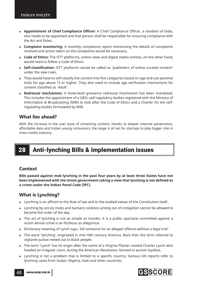- **Appointment of Chief Compliance Officer:** A Chief Compliance Officer, a resident of India, also needs to be appointed and that person shall be responsible for ensuring compliance with the Act and Rules.
- **Complaint monitoring:** A monthly compliance report mentioning the details of complaints received and action taken on the complaints would be necessary.
- **Code of Ethics:** The OTT platforms, online news and digital media entities, on the other hand, would need to follow a Code of Ethics.
- **Self-classifi cation:** OTT platforms would be called as 'publishers of online curated content' under the new rules.
- They would have to self-classify the content into five categories based on age and use parental locks for age above 13 or higher. They also need to include age verification mechanisms for content classified as 'Adult'.
- **Redressal mechanism:** A three-level grievance redressal mechanism has been mandated. This includes the appointment of a GRO, self-regulatory bodies registered with the Ministry of Information & Broadcasting (MIB) to look after the Code of Ethics and a Charter for the selfregulating bodies formulated by MIB.

#### **What lies ahead?**

With the increase in the user base of streaming content, thanks to deeper internet penetration, affordable data and Indian young consumers, the stage is all set for startups to play bigger role in mass media industry.

# 28 Anti-lynching Bills & implementation issues

#### **Context**

**Bills passed against mob lynching in the past four years by at least three States have not**  been implemented with the Union government taking a view that lynching is not defined as **a crime under the Indian Penal Code (IPC).**

### **What is Lynching?**

- Lynching is an affront to the Rule of law and to the exalted values of the Constitution itself.
- Lynching by unruly mobs and barbaric violence arising out of instigation cannot be allowed to become the order of the day.
- The act of lynching is not as simple as murder, it is a public spectacle committed against a victim whose crime is an fictitious as allegorical.
- Dictionary meaning of Lynch says, 'kill someone for an alleged offence without a legal trial'.
- The word 'lynching' originated in mid-18th century America. Back then the term referred to vigilante justice meted out to black people.
- The term 'Lynch' has its origin after the name of a Virginia Planter named Charles Lynch who headed an irregular court, during the American Revolution, formed to punish loyalists.
- Lynching is not a problem that is limited to a specific country. Various UN reports refer to lynching cases from Sudan, Nigeria, Haiti and other countries.



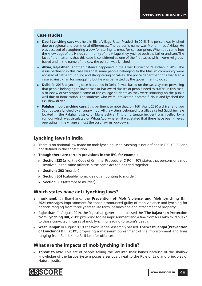#### **Case studies**

- **Dadri Lynching case** was held in Bisra Village, Uttar Pradesh in 2015. The person was lynched due to regional and communal differences. The person's name was Mohammad Akhlaq. He was accused of slaughtering a cow for storing its meat for consumption. When this came into the knowledge of the Hindu community of the village, they lynched both the father and son. The fact of the matter is that this case is considered as one of the first cases which were religiousbased and in the name of the cow the person was lynched.
- **Alwar, Rajasthan:** Another instance happened in the Alwar District of Rajasthan in 2017. The issue pertinent in this case was that some people belonging to the Muslim community were accused of cattle smuggling and slaughtering of calves. The police department of Alwar filed a case against Khan for smuggling but he was permitted by the government to do so.
- **Delhi:** In 2017, a lynching case happened in Delhi. It was based on the caste system prevailing that people belonging to lower case or backward classes of people need to suffer. In this case, a rickshaw driver stopped some of the college students as they were urinating on the public wall due to intoxication. The students who were intoxicated became furious and lynched the rickshaw driver.
- **Palghar mob Lynching case:** It is pertinent to note that, on 16th April, 2020 a driver and two Sadhus were lynched by an angry mob. All the victims belonged to a village called Gadchinchale located in the Palghar district of Maharashtra. This unfortunate incident was fuelled by a rumour which was circulated on WhatsApp, wherein it was stated that there have been thieves operating in the village amidst the coronavirus lockdown.

### **Lynching laws in India**

- There is no national law made on mob lynching. Mob lynching is not defined in IPC, CRPC, and nor defined in the constitution.
- **Though there are certain provisions in the IPC, for example-**
	- ► **Section 223 (a)** of the Code of Criminal Procedure (CrPC), 1973 states that persons or a mob involved in the same offence in the same act can be tried together.
	- ! **Sections 302** (murder)
	- ▶ **Section 304** (culpable homicide not amounting to murder)
	- **> Section 307** (attempt to murder)

### **Which states have anti-lynching laws?**

- **Jharkhand:** In Jharkhand, the **Prevention of Mob Violence and Mob Lynching Bill, 2021** envisages imprisonment for those pronounced guilty of mob violence and lynching for periods ranging from three years to life term, besides fine and attachment of property.
- **Rajasthan:** In August 2019, the Rajasthan government passed the **'The Rajasthan Protection**  from Lynching Bill, 2019' providing for life imprisonment and a fine from Rs 1 lakh to Rs 5 lakh to those convicted in cases of mob lynching leading to victim's death.
- **West Bengal:** In August 2019, the West Bengal Assembly passed '**The West Bengal (Prevention of Lynching) Bill, 2019'**, proposing a maximum punishment of life imprisonment and fines ranging from Rs 1 lakh to Rs 5 lakh for offences.

### **What are the impacts of mob lynching in India?**

 **Threat to law:** This act of people taking the law into their hands because of the shallow knowledge of the Justice System poses a serious threat to the Rule of Law and principles of Natural Justice.